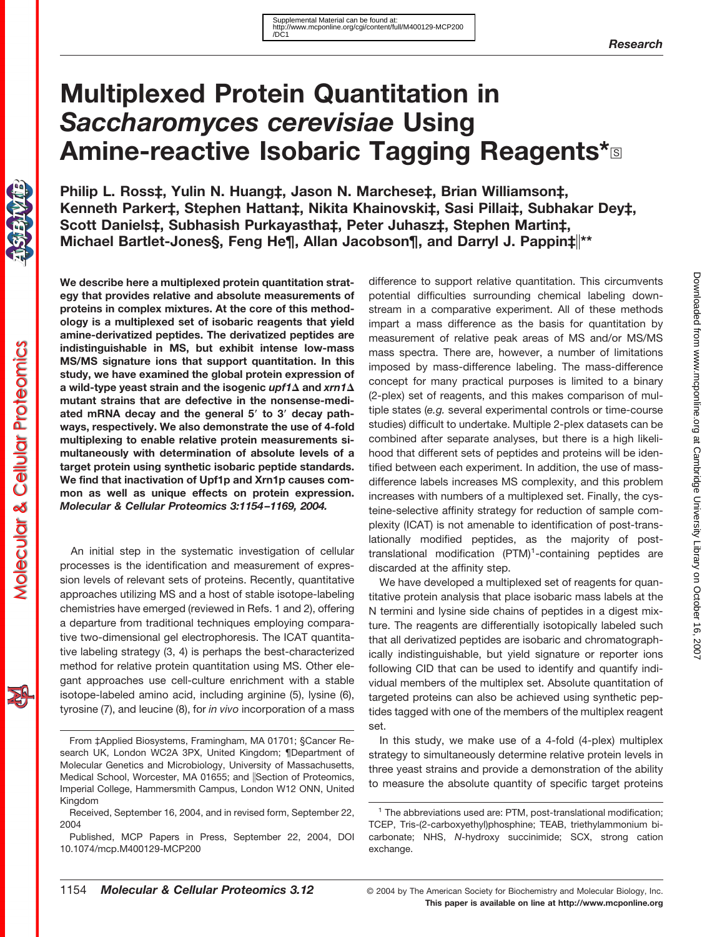# **Multiplexed Protein Quantitation in** *Saccharomyces cerevisiae* **Using Amine-reactive Isobaric Tagging Reagents\***<sup>S</sup>

**Philip L. Ross‡, Yulin N. Huang‡, Jason N. Marchese‡, Brian Williamson‡, Kenneth Parker‡, Stephen Hattan‡, Nikita Khainovski‡, Sasi Pillai‡, Subhakar Dey‡, Scott Daniels‡, Subhasish Purkayastha‡, Peter Juhasz‡, Stephen Martin‡, Michael Bartlet-Jones§, Feng He¶, Allan Jacobson¶, and Darryl J. Pappin‡\*\***



**We describe here a multiplexed protein quantitation strategy that provides relative and absolute measurements of proteins in complex mixtures. At the core of this methodology is a multiplexed set of isobaric reagents that yield amine-derivatized peptides. The derivatized peptides are indistinguishable in MS, but exhibit intense low-mass MS/MS signature ions that support quantitation. In this study, we have examined the global protein expression of a** wild-type yeast strain and the isogenic *upf1* $\Delta$  and *xrn1* $\Delta$ **mutant strains that are defective in the nonsense-medi**ated mRNA decay and the general 5' to 3' decay path**ways, respectively. We also demonstrate the use of 4-fold multiplexing to enable relative protein measurements simultaneously with determination of absolute levels of a target protein using synthetic isobaric peptide standards. We find that inactivation of Upf1p and Xrn1p causes common as well as unique effects on protein expression.** *Molecular & Cellular Proteomics 3:1154 –1169, 2004.*

An initial step in the systematic investigation of cellular processes is the identification and measurement of expression levels of relevant sets of proteins. Recently, quantitative approaches utilizing MS and a host of stable isotope-labeling chemistries have emerged (reviewed in Refs. 1 and 2), offering a departure from traditional techniques employing comparative two-dimensional gel electrophoresis. The ICAT quantitative labeling strategy (3, 4) is perhaps the best-characterized method for relative protein quantitation using MS. Other elegant approaches use cell-culture enrichment with a stable isotope-labeled amino acid, including arginine (5), lysine (6), tyrosine (7), and leucine (8), for *in vivo* incorporation of a mass

difference to support relative quantitation. This circumvents potential difficulties surrounding chemical labeling downstream in a comparative experiment. All of these methods impart a mass difference as the basis for quantitation by measurement of relative peak areas of MS and/or MS/MS mass spectra. There are, however, a number of limitations imposed by mass-difference labeling. The mass-difference concept for many practical purposes is limited to a binary (2-plex) set of reagents, and this makes comparison of multiple states (*e.g.* several experimental controls or time-course studies) difficult to undertake. Multiple 2-plex datasets can be combined after separate analyses, but there is a high likelihood that different sets of peptides and proteins will be identified between each experiment. In addition, the use of massdifference labels increases MS complexity, and this problem increases with numbers of a multiplexed set. Finally, the cysteine-selective affinity strategy for reduction of sample complexity (ICAT) is not amenable to identification of post-translationally modified peptides, as the majority of posttranslational modification (PTM)<sup>1</sup>-containing peptides are discarded at the affinity step.

We have developed a multiplexed set of reagents for quantitative protein analysis that place isobaric mass labels at the N termini and lysine side chains of peptides in a digest mixture. The reagents are differentially isotopically labeled such that all derivatized peptides are isobaric and chromatographically indistinguishable, but yield signature or reporter ions following CID that can be used to identify and quantify individual members of the multiplex set. Absolute quantitation of targeted proteins can also be achieved using synthetic peptides tagged with one of the members of the multiplex reagent set.

In this study, we make use of a 4-fold (4-plex) multiplex strategy to simultaneously determine relative protein levels in three yeast strains and provide a demonstration of the ability to measure the absolute quantity of specific target proteins

From ‡Applied Biosystems, Framingham, MA 01701; §Cancer Research UK, London WC2A 3PX, United Kingdom; ¶Department of Molecular Genetics and Microbiology, University of Massachusetts, Medical School, Worcester, MA 01655; and Section of Proteomics, Imperial College, Hammersmith Campus, London W12 ONN, United Kingdom

Received, September 16, 2004, and in revised form, September 22, 2004

Published, MCP Papers in Press, September 22, 2004, DOI 10.1074/mcp.M400129-MCP200

 $1$  The abbreviations used are: PTM, post-translational modification; TCEP, Tris-(2-carboxyethyl)phosphine; TEAB, triethylammonium bicarbonate; NHS, *N*-hydroxy succinimide; SCX, strong cation exchange.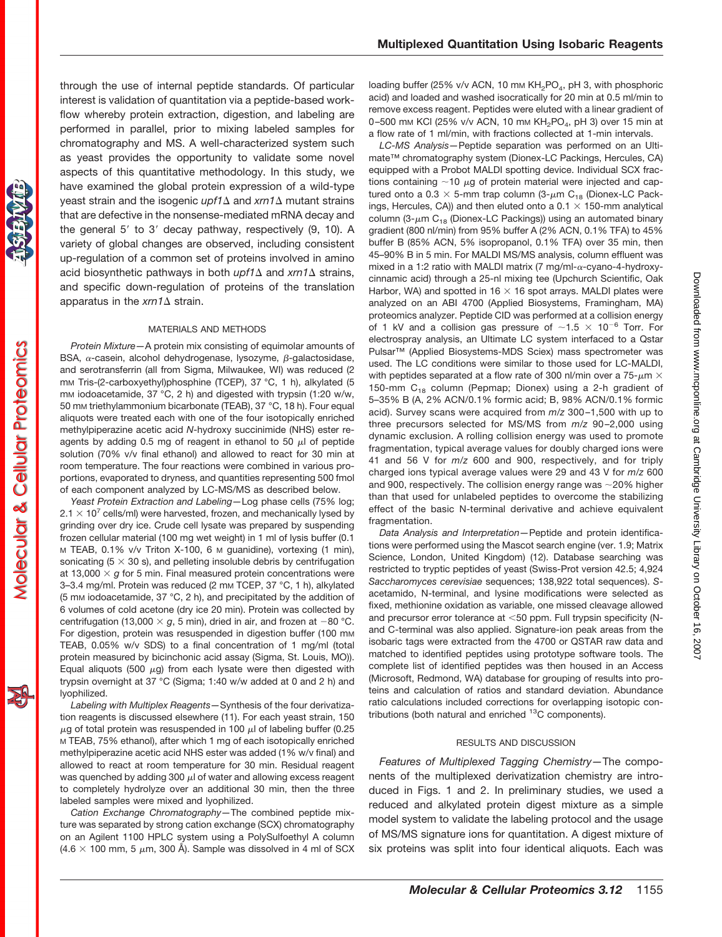through the use of internal peptide standards. Of particular interest is validation of quantitation via a peptide-based workflow whereby protein extraction, digestion, and labeling are performed in parallel, prior to mixing labeled samples for chromatography and MS. A well-characterized system such as yeast provides the opportunity to validate some novel aspects of this quantitative methodology. In this study, we have examined the global protein expression of a wild-type yeast strain and the isogenic  $upf1\Delta$  and  $xrn1\Delta$  mutant strains that are defective in the nonsense-mediated mRNA decay and the general 5' to 3' decay pathway, respectively (9, 10). A variety of global changes are observed, including consistent up-regulation of a common set of proteins involved in amino acid biosynthetic pathways in both  $upf1\Delta$  and  $xrn1\Delta$  strains, and specific down-regulation of proteins of the translation apparatus in the  $xrn1\Delta$  strain.

## MATERIALS AND METHODS

*Protein Mixture—*A protein mix consisting of equimolar amounts of BSA,  $\alpha$ -casein, alcohol dehydrogenase, lysozyme,  $\beta$ -galactosidase, and serotransferrin (all from Sigma, Milwaukee, WI) was reduced (2 mM Tris-(2-carboxyethyl)phosphine (TCEP), 37 °C, 1 h), alkylated (5 mm iodoacetamide, 37 °C, 2 h) and digested with trypsin (1:20 w/w, 50 mM triethylammonium bicarbonate (TEAB), 37 °C, 18 h). Four equal aliquots were treated each with one of the four isotopically enriched methylpiperazine acetic acid *N*-hydroxy succinimide (NHS) ester reagents by adding 0.5 mg of reagent in ethanol to 50  $\mu$ l of peptide solution (70% v/v final ethanol) and allowed to react for 30 min at room temperature. The four reactions were combined in various proportions, evaporated to dryness, and quantities representing 500 fmol of each component analyzed by LC-MS/MS as described below.

*Yeast Protein Extraction and Labeling—*Log phase cells (75% log;  $2.1 \times 10^7$  cells/ml) were harvested, frozen, and mechanically lysed by grinding over dry ice. Crude cell lysate was prepared by suspending frozen cellular material (100 mg wet weight) in 1 ml of lysis buffer (0.1 M TEAB, 0.1% v/v Triton X-100, 6 M guanidine), vortexing (1 min), sonicating ( $5 \times 30$  s), and pelleting insoluble debris by centrifugation at 13,000  $\times$  g for 5 min. Final measured protein concentrations were 3-3.4 mg/ml. Protein was reduced (2 mm TCEP, 37 °C, 1 h), alkylated (5 mM iodoacetamide, 37 °C, 2 h), and precipitated by the addition of 6 volumes of cold acetone (dry ice 20 min). Protein was collected by centrifugation (13,000  $\times$  g, 5 min), dried in air, and frozen at  $-80$  °C. For digestion, protein was resuspended in digestion buffer (100 mm TEAB, 0.05% w/v SDS) to a final concentration of 1 mg/ml (total protein measured by bicinchonic acid assay (Sigma, St. Louis, MO)). Equal aliquots (500  $\mu$ g) from each lysate were then digested with trypsin overnight at 37 °C (Sigma; 1:40 w/w added at 0 and 2 h) and lyophilized.

*Labeling with Multiplex Reagents—*Synthesis of the four derivatization reagents is discussed elsewhere (11). For each yeast strain, 150  $\mu$ g of total protein was resuspended in 100  $\mu$ l of labeling buffer (0.25 M TEAB, 75% ethanol), after which 1 mg of each isotopically enriched methylpiperazine acetic acid NHS ester was added (1% w/v final) and allowed to react at room temperature for 30 min. Residual reagent was quenched by adding 300  $\mu$  of water and allowing excess reagent to completely hydrolyze over an additional 30 min, then the three labeled samples were mixed and lyophilized.

*Cation Exchange Chromatography—*The combined peptide mixture was separated by strong cation exchange (SCX) chromatography on an Agilent 1100 HPLC system using a PolySulfoethyl A column  $(4.6 \times 100$  mm, 5  $\mu$ m, 300 Å). Sample was dissolved in 4 ml of SCX loading buffer (25% v/v ACN, 10 mm  $KH_2PO_4$ , pH 3, with phosphoric acid) and loaded and washed isocratically for 20 min at 0.5 ml/min to remove excess reagent. Peptides were eluted with a linear gradient of 0–500 mm KCl (25% v/v ACN, 10 mm  $KH<sub>2</sub>PO<sub>4</sub>$ , pH 3) over 15 min at a flow rate of 1 ml/min, with fractions collected at 1-min intervals.

*LC-MS Analysis—*Peptide separation was performed on an Ultimate™ chromatography system (Dionex-LC Packings, Hercules, CA) equipped with a Probot MALDI spotting device. Individual SCX fractions containing  $\sim$  10  $\mu$ g of protein material were injected and captured onto a  $0.3 \times$  5-mm trap column (3- $\mu$ m C<sub>18</sub> (Dionex-LC Packings, Hercules, CA)) and then eluted onto a  $0.1 \times 150$ -mm analytical column (3- $\mu$ m C<sub>18</sub> (Dionex-LC Packings)) using an automated binary gradient (800 nl/min) from 95% buffer A (2% ACN, 0.1% TFA) to 45% buffer B (85% ACN, 5% isopropanol, 0.1% TFA) over 35 min, then 45–90% B in 5 min. For MALDI MS/MS analysis, column effluent was mixed in a 1:2 ratio with MALDI matrix  $(7 \text{ mg/ml-}\alpha\text{-}cyano-4\text{-}hydroxy$ cinnamic acid) through a 25-nl mixing tee (Upchurch Scientific, Oak Harbor, WA) and spotted in 16  $\times$  16 spot arrays. MALDI plates were analyzed on an ABI 4700 (Applied Biosystems, Framingham, MA) proteomics analyzer. Peptide CID was performed at a collision energy of 1 kV and a collision gas pressure of  $\sim$ 1.5  $\times$  10<sup>-6</sup> Torr. For electrospray analysis, an Ultimate LC system interfaced to a Qstar Pulsar™ (Applied Biosystems-MDS Sciex) mass spectrometer was used. The LC conditions were similar to those used for LC-MALDI, with peptides separated at a flow rate of 300 nl/min over a  $75-\mu m \times$ 150-mm  $C_{18}$  column (Pepmap; Dionex) using a 2-h gradient of 5–35% B (A, 2% ACN/0.1% formic acid; B, 98% ACN/0.1% formic acid). Survey scans were acquired from *m*/*z* 300–1,500 with up to three precursors selected for MS/MS from *m*/*z* 90–2,000 using dynamic exclusion. A rolling collision energy was used to promote fragmentation, typical average values for doubly charged ions were 41 and 56 V for *m*/*z* 600 and 900, respectively, and for triply charged ions typical average values were 29 and 43 V for *m*/*z* 600 and 900, respectively. The collision energy range was  $\sim$  20% higher than that used for unlabeled peptides to overcome the stabilizing effect of the basic N-terminal derivative and achieve equivalent fragmentation.

*Data Analysis and Interpretation—*Peptide and protein identifications were performed using the Mascot search engine (ver. 1.9; Matrix Science, London, United Kingdom) (12). Database searching was restricted to tryptic peptides of yeast (Swiss-Prot version 42.5; 4,924 *Saccharomyces cerevisiae* sequences; 138,922 total sequences). *S*acetamido, N-terminal, and lysine modifications were selected as fixed, methionine oxidation as variable, one missed cleavage allowed and precursor error tolerance at  $<$  50 ppm. Full trypsin specificity (Nand C-terminal was also applied. Signature-ion peak areas from the isobaric tags were extracted from the 4700 or QSTAR raw data and matched to identified peptides using prototype software tools. The complete list of identified peptides was then housed in an Access (Microsoft, Redmond, WA) database for grouping of results into proteins and calculation of ratios and standard deviation. Abundance ratio calculations included corrections for overlapping isotopic contributions (both natural and enriched <sup>13</sup>C components).

#### RESULTS AND DISCUSSION

*Features of Multiplexed Tagging Chemistry—*The components of the multiplexed derivatization chemistry are introduced in Figs. 1 and 2. In preliminary studies, we used a reduced and alkylated protein digest mixture as a simple model system to validate the labeling protocol and the usage of MS/MS signature ions for quantitation. A digest mixture of six proteins was split into four identical aliquots. Each was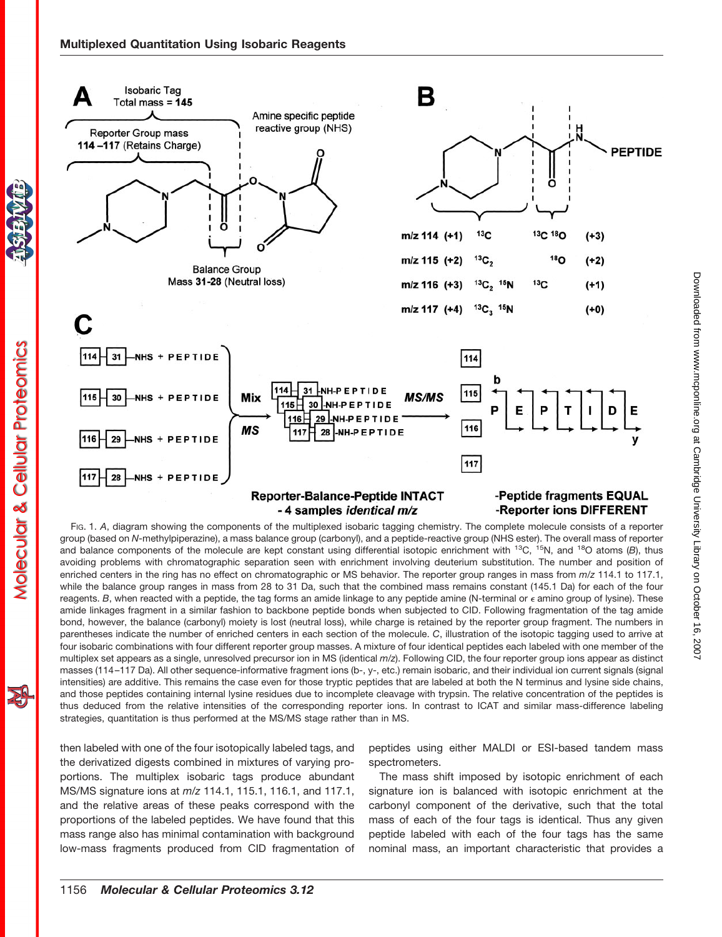

FIG. 1. A, diagram showing the components of the multiplexed isobaric tagging chemistry. The complete molecule consists of a reporter group (based on *N*-methylpiperazine), a mass balance group (carbonyl), and a peptide-reactive group (NHS ester). The overall mass of reporter and balance components of the molecule are kept constant using differential isotopic enrichment with 13C, 15N, and 18O atoms (*B*), thus avoiding problems with chromatographic separation seen with enrichment involving deuterium substitution. The number and position of enriched centers in the ring has no effect on chromatographic or MS behavior. The reporter group ranges in mass from *m*/*z* 114.1 to 117.1, while the balance group ranges in mass from 28 to 31 Da, such that the combined mass remains constant (145.1 Da) for each of the four reagents. B, when reacted with a peptide, the tag forms an amide linkage to any peptide amine (N-terminal or  $\epsilon$  amino group of lysine). These amide linkages fragment in a similar fashion to backbone peptide bonds when subjected to CID. Following fragmentation of the tag amide bond, however, the balance (carbonyl) moiety is lost (neutral loss), while charge is retained by the reporter group fragment. The numbers in parentheses indicate the number of enriched centers in each section of the molecule. *C*, illustration of the isotopic tagging used to arrive at four isobaric combinations with four different reporter group masses. A mixture of four identical peptides each labeled with one member of the multiplex set appears as a single, unresolved precursor ion in MS (identical *m*/*z*). Following CID, the four reporter group ions appear as distinct masses (114–117 Da). All other sequence-informative fragment ions (b-, y-, etc.) remain isobaric, and their individual ion current signals (signal intensities) are additive. This remains the case even for those tryptic peptides that are labeled at both the N terminus and lysine side chains, and those peptides containing internal lysine residues due to incomplete cleavage with trypsin. The relative concentration of the peptides is thus deduced from the relative intensities of the corresponding reporter ions. In contrast to ICAT and similar mass-difference labeling strategies, quantitation is thus performed at the MS/MS stage rather than in MS.

then labeled with one of the four isotopically labeled tags, and the derivatized digests combined in mixtures of varying proportions. The multiplex isobaric tags produce abundant MS/MS signature ions at *m*/*z* 114.1, 115.1, 116.1, and 117.1, and the relative areas of these peaks correspond with the proportions of the labeled peptides. We have found that this mass range also has minimal contamination with background low-mass fragments produced from CID fragmentation of peptides using either MALDI or ESI-based tandem mass spectrometers.

The mass shift imposed by isotopic enrichment of each signature ion is balanced with isotopic enrichment at the carbonyl component of the derivative, such that the total mass of each of the four tags is identical. Thus any given peptide labeled with each of the four tags has the same nominal mass, an important characteristic that provides a

**Molecular & Cellular Proteomics**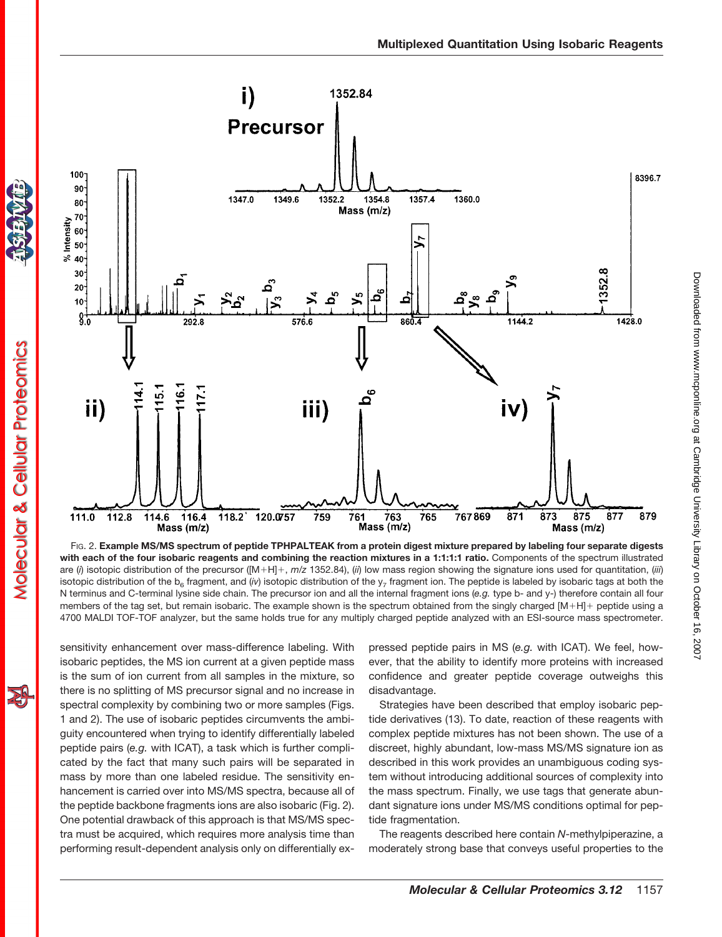

FIG. 2. **Example MS/MS spectrum of peptide TPHPALTEAK from a protein digest mixture prepared by labeling four separate digests with each of the four isobaric reagents and combining the reaction mixtures in a 1:1:1:1 ratio.** Components of the spectrum illustrated are (*i*) isotopic distribution of the precursor ([M+H]+, *m*/*z* 1352.84), (*ii*) low mass region showing the signature ions used for quantitation, (*iii*) isotopic distribution of the b<sub>6</sub> fragment, and (iv) isotopic distribution of the  $y_7$  fragment ion. The peptide is labeled by isobaric tags at both the N terminus and C-terminal lysine side chain. The precursor ion and all the internal fragment ions (*e.g.* type b- and y-) therefore contain all four members of the tag set, but remain isobaric. The example shown is the spectrum obtained from the singly charged [M+H] + peptide using a 4700 MALDI TOF-TOF analyzer, but the same holds true for any multiply charged peptide analyzed with an ESI-source mass spectrometer.

sensitivity enhancement over mass-difference labeling. With isobaric peptides, the MS ion current at a given peptide mass is the sum of ion current from all samples in the mixture, so there is no splitting of MS precursor signal and no increase in spectral complexity by combining two or more samples (Figs. 1 and 2). The use of isobaric peptides circumvents the ambiguity encountered when trying to identify differentially labeled peptide pairs (*e.g.* with ICAT), a task which is further complicated by the fact that many such pairs will be separated in mass by more than one labeled residue. The sensitivity enhancement is carried over into MS/MS spectra, because all of the peptide backbone fragments ions are also isobaric (Fig. 2). One potential drawback of this approach is that MS/MS spectra must be acquired, which requires more analysis time than performing result-dependent analysis only on differentially ex-

Molecular & Cellular Proteomics

pressed peptide pairs in MS (*e.g.* with ICAT). We feel, however, that the ability to identify more proteins with increased confidence and greater peptide coverage outweighs this disadvantage.

Strategies have been described that employ isobaric peptide derivatives (13). To date, reaction of these reagents with complex peptide mixtures has not been shown. The use of a discreet, highly abundant, low-mass MS/MS signature ion as described in this work provides an unambiguous coding system without introducing additional sources of complexity into the mass spectrum. Finally, we use tags that generate abundant signature ions under MS/MS conditions optimal for peptide fragmentation.

The reagents described here contain *N*-methylpiperazine, a moderately strong base that conveys useful properties to the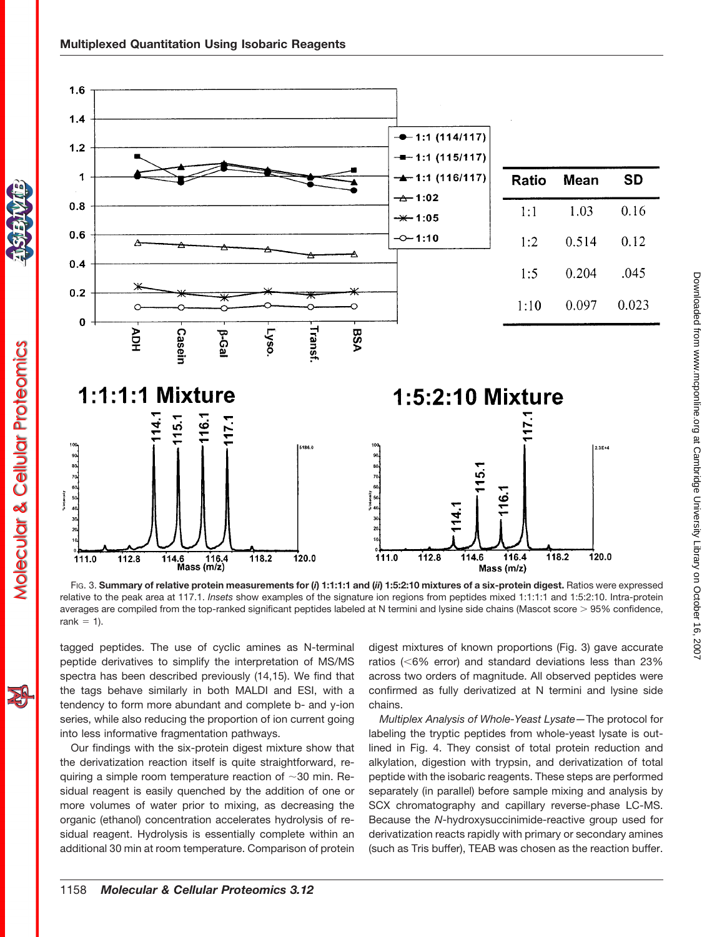

FIG. 3. **Summary of relative protein measurements for (***i***) 1:1:1:1 and (***ii***) 1:5:2:10 mixtures of a six-protein digest.** Ratios were expressed relative to the peak area at 117.1. *Insets* show examples of the signature ion regions from peptides mixed 1:1:1:1 and 1:5:2:10. Intra-protein averages are compiled from the top-ranked significant peptides labeled at N termini and lysine side chains (Mascot score > 95% confidence, rank  $= 1$ ).

tagged peptides. The use of cyclic amines as N-terminal peptide derivatives to simplify the interpretation of MS/MS spectra has been described previously (14,15). We find that the tags behave similarly in both MALDI and ESI, with a tendency to form more abundant and complete b- and y-ion series, while also reducing the proportion of ion current going into less informative fragmentation pathways.

Our findings with the six-protein digest mixture show that the derivatization reaction itself is quite straightforward, requiring a simple room temperature reaction of  $\sim$ 30 min. Residual reagent is easily quenched by the addition of one or more volumes of water prior to mixing, as decreasing the organic (ethanol) concentration accelerates hydrolysis of residual reagent. Hydrolysis is essentially complete within an additional 30 min at room temperature. Comparison of protein digest mixtures of known proportions (Fig. 3) gave accurate ratios (6% error) and standard deviations less than 23% across two orders of magnitude. All observed peptides were confirmed as fully derivatized at N termini and lysine side chains.

*Multiplex Analysis of Whole-Yeast Lysate—*The protocol for labeling the tryptic peptides from whole-yeast lysate is outlined in Fig. 4. They consist of total protein reduction and alkylation, digestion with trypsin, and derivatization of total peptide with the isobaric reagents. These steps are performed separately (in parallel) before sample mixing and analysis by SCX chromatography and capillary reverse-phase LC-MS. Because the *N*-hydroxysuccinimide-reactive group used for derivatization reacts rapidly with primary or secondary amines (such as Tris buffer), TEAB was chosen as the reaction buffer.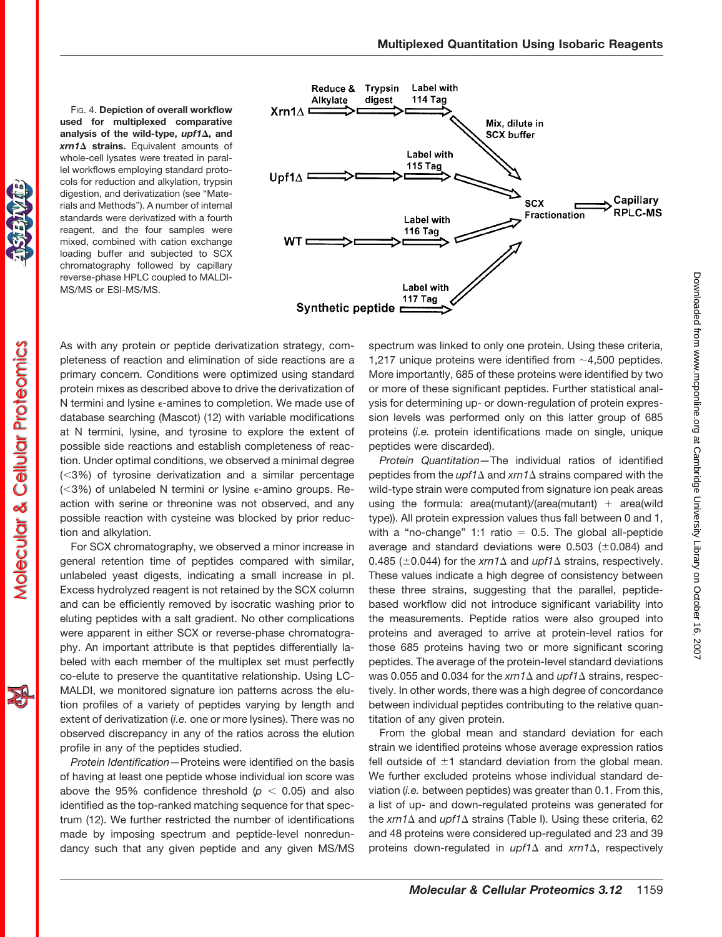FIG. 4. **Depiction of overall workflow used for multiplexed comparative analysis of the wild-type,** *upf1***, and** *xrn1*∆ strains. Equivalent amounts of whole-cell lysates were treated in parallel workflows employing standard protocols for reduction and alkylation, trypsin digestion, and derivatization (see "Materials and Methods"). A number of internal standards were derivatized with a fourth reagent, and the four samples were mixed, combined with cation exchange loading buffer and subjected to SCX chromatography followed by capillary reverse-phase HPLC coupled to MALDI-MS/MS or ESI-MS/MS.

**Molecular & Cellular Proteomics** 



As with any protein or peptide derivatization strategy, completeness of reaction and elimination of side reactions are a primary concern. Conditions were optimized using standard protein mixes as described above to drive the derivatization of N termini and lysine  $\epsilon$ -amines to completion. We made use of database searching (Mascot) (12) with variable modifications at N termini, lysine, and tyrosine to explore the extent of possible side reactions and establish completeness of reaction. Under optimal conditions, we observed a minimal degree (3%) of tyrosine derivatization and a similar percentage  $(<$ 3%) of unlabeled N termini or lysine  $\epsilon$ -amino groups. Reaction with serine or threonine was not observed, and any possible reaction with cysteine was blocked by prior reduction and alkylation.

For SCX chromatography, we observed a minor increase in general retention time of peptides compared with similar, unlabeled yeast digests, indicating a small increase in pI. Excess hydrolyzed reagent is not retained by the SCX column and can be efficiently removed by isocratic washing prior to eluting peptides with a salt gradient. No other complications were apparent in either SCX or reverse-phase chromatography. An important attribute is that peptides differentially labeled with each member of the multiplex set must perfectly co-elute to preserve the quantitative relationship. Using LC-MALDI, we monitored signature ion patterns across the elution profiles of a variety of peptides varying by length and extent of derivatization (*i.e.* one or more lysines). There was no observed discrepancy in any of the ratios across the elution profile in any of the peptides studied.

*Protein Identification—*Proteins were identified on the basis of having at least one peptide whose individual ion score was above the 95% confidence threshold  $(p < 0.05)$  and also identified as the top-ranked matching sequence for that spectrum (12). We further restricted the number of identifications made by imposing spectrum and peptide-level nonredundancy such that any given peptide and any given MS/MS spectrum was linked to only one protein. Using these criteria, 1,217 unique proteins were identified from  $\sim$ 4,500 peptides. More importantly, 685 of these proteins were identified by two or more of these significant peptides. Further statistical analysis for determining up- or down-regulation of protein expression levels was performed only on this latter group of 685 proteins (*i.e.* protein identifications made on single, unique peptides were discarded).

*Protein Quantitation—*The individual ratios of identified peptides from the  $upf1\Delta$  and  $xrn1\Delta$  strains compared with the wild-type strain were computed from signature ion peak areas using the formula: area(mutant)/(area(mutant)  $+$  area(wild type)). All protein expression values thus fall between 0 and 1, with a "no-change" 1:1 ratio  $= 0.5$ . The global all-peptide average and standard deviations were  $0.503$  ( $\pm 0.084$ ) and 0.485 ( $\pm$ 0.044) for the *xrn1* $\Delta$  and *upf1* $\Delta$  strains, respectively. These values indicate a high degree of consistency between these three strains, suggesting that the parallel, peptidebased workflow did not introduce significant variability into the measurements. Peptide ratios were also grouped into proteins and averaged to arrive at protein-level ratios for those 685 proteins having two or more significant scoring peptides. The average of the protein-level standard deviations was 0.055 and 0.034 for the  $xrn1\Delta$  and  $upf1\Delta$  strains, respectively. In other words, there was a high degree of concordance between individual peptides contributing to the relative quantitation of any given protein.

From the global mean and standard deviation for each strain we identified proteins whose average expression ratios fell outside of  $\pm 1$  standard deviation from the global mean. We further excluded proteins whose individual standard deviation (*i.e.* between peptides) was greater than 0.1. From this, a list of up- and down-regulated proteins was generated for the xrn1 $\Delta$  and upf1 $\Delta$  strains (Table I). Using these criteria, 62 and 48 proteins were considered up-regulated and 23 and 39 proteins down-regulated in  $upf1\Delta$  and  $xrn1\Delta$ , respectively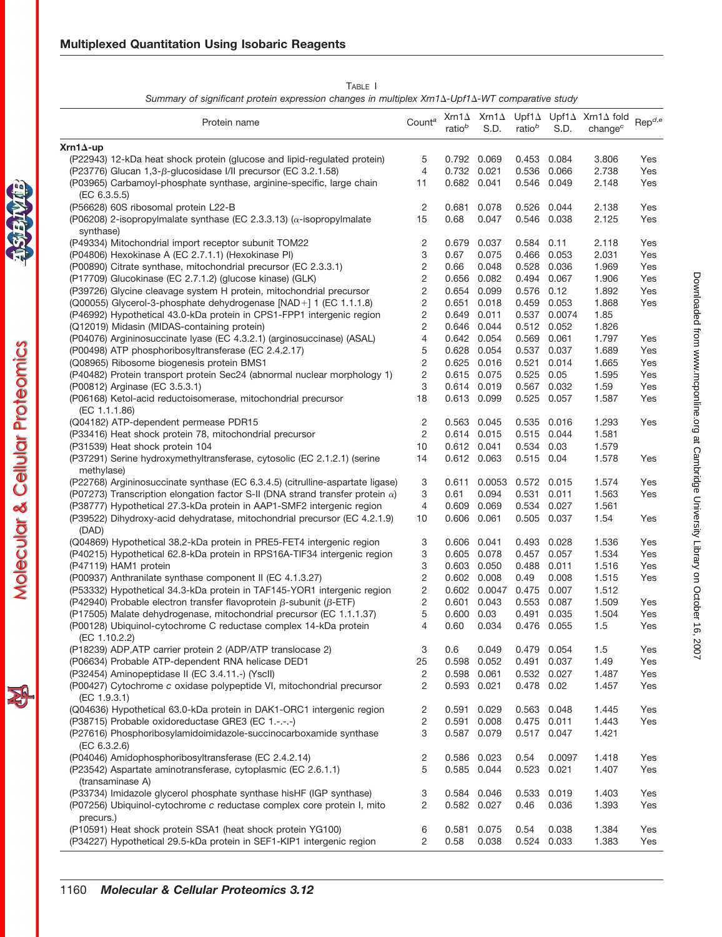| Protein name                                                                                                                                       | Count <sup>a</sup>      | ratio <sup>b</sup> | S.D.         | ratio <sup>b</sup> | S.D.            | Xrn1∆ Xrn1∆ Upf1∆ Upf1∆ Xrn1∆ fold<br>change <sup>c</sup> | $\mathsf{Rep}^{d, \mathsf{e}}$ |
|----------------------------------------------------------------------------------------------------------------------------------------------------|-------------------------|--------------------|--------------|--------------------|-----------------|-----------------------------------------------------------|--------------------------------|
| $Xrn1\Delta$ -up                                                                                                                                   |                         |                    |              |                    |                 |                                                           |                                |
| (P22943) 12-kDa heat shock protein (glucose and lipid-regulated protein)                                                                           | 5                       | 0.792 0.069        |              | 0.453 0.084        |                 | 3.806                                                     | Yes                            |
| (P23776) Glucan 1,3-β-glucosidase I/II precursor (EC 3.2.1.58)                                                                                     | $\overline{4}$          | 0.732 0.021        |              | 0.536 0.066        |                 | 2.738                                                     | Yes                            |
| (P03965) Carbamoyl-phosphate synthase, arginine-specific, large chain<br>(EC 6.3.5.5)                                                              | 11                      | 0.682 0.041        |              | 0.546 0.049        |                 | 2.148                                                     | Yes                            |
| (P56628) 60S ribosomal protein L22-B                                                                                                               | 2                       | 0.681              | 0.078        |                    | 0.526 0.044     | 2.138                                                     | Yes                            |
| (P06208) 2-isopropylmalate synthase (EC 2.3.3.13) ( $\alpha$ -isopropylmalate                                                                      | 15                      | 0.68               | 0.047        | 0.546 0.038        |                 | 2.125                                                     | Yes                            |
| synthase)                                                                                                                                          |                         |                    |              |                    |                 |                                                           |                                |
| (P49334) Mitochondrial import receptor subunit TOM22                                                                                               | 2                       | 0.679              | 0.037        | 0.584              | 0.11            | 2.118                                                     | Yes                            |
| (P04806) Hexokinase A (EC 2.7.1.1) (Hexokinase PI)                                                                                                 | 3                       | 0.67               | 0.075        | 0.466 0.053        |                 | 2.031                                                     | Yes                            |
| (P00890) Citrate synthase, mitochondrial precursor (EC 2.3.3.1)                                                                                    | $\overline{c}$          | 0.66               | 0.048        | 0.528 0.036        |                 | 1.969                                                     | Yes                            |
| (P17709) Glucokinase (EC 2.7.1.2) (glucose kinase) (GLK)                                                                                           | $\overline{c}$          | 0.656              | 0.082        | 0.494 0.067        |                 | 1.906                                                     | Yes                            |
| (P39726) Glycine cleavage system H protein, mitochondrial precursor                                                                                | $\overline{\mathbf{c}}$ |                    | 0.654 0.099  | 0.576 0.12         |                 | 1.892                                                     | Yes                            |
| (Q00055) Glycerol-3-phosphate dehydrogenase [NAD+] 1 (EC 1.1.1.8)                                                                                  | 2                       | 0.651              | 0.018        | 0.459 0.053        |                 | 1.868                                                     | Yes                            |
| (P46992) Hypothetical 43.0-kDa protein in CPS1-FPP1 intergenic region                                                                              | $\overline{c}$          | 0.649              | 0.011        |                    | 0.537 0.0074    | 1.85                                                      |                                |
| (Q12019) Midasin (MIDAS-containing protein)                                                                                                        | $\overline{c}$          |                    | 0.646 0.044  |                    | 0.512 0.052     | 1.826                                                     |                                |
| (P04076) Argininosuccinate lyase (EC 4.3.2.1) (arginosuccinase) (ASAL)                                                                             | 4                       | 0.642 0.054        |              | 0.569 0.061        |                 | 1.797                                                     | Yes                            |
| (P00498) ATP phosphoribosyltransferase (EC 2.4.2.17)                                                                                               | 5                       |                    | 0.628 0.054  | 0.537              | 0.037           | 1.689                                                     | Yes                            |
| (Q08965) Ribosome biogenesis protein BMS1                                                                                                          | $\overline{\mathbf{c}}$ |                    | 0.625 0.016  | 0.521              | 0.014           | 1.665                                                     | Yes                            |
| (P40482) Protein transport protein Sec24 (abnormal nuclear morphology 1)                                                                           | 2                       | 0.615 0.075        |              | $0.525$ 0.05       |                 | 1.595                                                     | Yes                            |
| (P00812) Arginase (EC 3.5.3.1)                                                                                                                     | 3                       |                    | 0.614 0.019  | 0.567 0.032        |                 | 1.59                                                      | Yes                            |
| (P06168) Ketol-acid reductoisomerase, mitochondrial precursor<br>(EC 1.1.1.86)                                                                     | 18                      |                    | 0.613 0.099  | 0.525 0.057        |                 | 1.587                                                     | Yes                            |
| (Q04182) ATP-dependent permease PDR15                                                                                                              | 2                       | 0.563              | 0.045        | 0.535 0.016        |                 | 1.293                                                     | Yes                            |
| (P33416) Heat shock protein 78, mitochondrial precursor                                                                                            | $\overline{2}$          | 0.614 0.015        |              | 0.515 0.044        |                 | 1.581                                                     |                                |
| (P31539) Heat shock protein 104                                                                                                                    | 10                      | 0.612 0.041        |              | 0.534 0.03         |                 | 1.579                                                     |                                |
| (P37291) Serine hydroxymethyltransferase, cytosolic (EC 2.1.2.1) (serine                                                                           | 14                      |                    | 0.612 0.063  | 0.515 0.04         |                 | 1.578                                                     | Yes                            |
| methylase)                                                                                                                                         |                         |                    |              |                    |                 |                                                           |                                |
| (P22768) Argininosuccinate synthase (EC 6.3.4.5) (citrulline-aspartate ligase)                                                                     | 3                       | 0.611              | 0.0053       | 0.572 0.015        |                 | 1.574                                                     | Yes                            |
| (P07273) Transcription elongation factor S-II (DNA strand transfer protein $\alpha$ )                                                              | 3                       | 0.61               | 0.094        | 0.531              | 0.011           | 1.563                                                     | Yes                            |
| (P38777) Hypothetical 27.3-kDa protein in AAP1-SMF2 intergenic region<br>(P39522) Dihydroxy-acid dehydratase, mitochondrial precursor (EC 4.2.1.9) | 4<br>10                 | 0.606 0.061        | 0.609 0.069  | 0.505 0.037        | 0.534 0.027     | 1.561<br>1.54                                             | Yes                            |
| (DAD)                                                                                                                                              |                         |                    |              |                    |                 |                                                           |                                |
| (Q04869) Hypothetical 38.2-kDa protein in PRE5-FET4 intergenic region                                                                              | 3                       | 0.606 0.041        |              | 0.493 0.028        |                 | 1.536                                                     | Yes                            |
| (P40215) Hypothetical 62.8-kDa protein in RPS16A-TIF34 intergenic region                                                                           | 3                       | 0.605 0.078        |              | 0.457 0.057        |                 | 1.534                                                     | Yes                            |
| (P47119) HAM1 protein                                                                                                                              | 3                       | 0.603              | 0.050        | 0.488 0.011        |                 | 1.516                                                     | Yes                            |
| (P00937) Anthranilate synthase component II (EC 4.1.3.27)                                                                                          | $\overline{\mathbf{c}}$ |                    | 0.602 0.008  | 0.49               | 0.008           | 1.515                                                     | Yes                            |
| (P53332) Hypothetical 34.3-kDa protein in TAF145-YOR1 intergenic region                                                                            | $\overline{c}$          |                    | 0.602 0.0047 | 0.475 0.007        |                 | 1.512                                                     |                                |
| (P42940) Probable electron transfer flavoprotein $\beta$ -subunit ( $\beta$ -ETF)                                                                  | 2                       | 0.601              | 0.043        | 0.553              | 0.087           | 1.509                                                     | Yes                            |
| (P17505) Malate dehydrogenase, mitochondrial precursor (EC 1.1.1.37)                                                                               | 5                       | 0.600              | 0.03         | 0.491              | 0.035           | 1.504                                                     | Yes                            |
| (P00128) Ubiquinol-cytochrome C reductase complex 14-kDa protein<br>(EC 1.10.2.2)                                                                  | 4                       | 0.60               | 0.034        | 0.476              | 0.055           | 1.5                                                       | Yes                            |
| (P18239) ADP, ATP carrier protein 2 (ADP/ATP translocase 2)                                                                                        | 3                       | 0.6                | 0.049        | 0.479 0.054        |                 | 1.5                                                       | Yes                            |
| (P06634) Probable ATP-dependent RNA helicase DED1                                                                                                  | 25                      | 0.598              | 0.052        | 0.491              | 0.037           | 1.49                                                      | Yes                            |
| (P32454) Aminopeptidase II (EC 3.4.11.-) (YscII)                                                                                                   | 2                       | 0.598              | 0.061        | 0.532 0.027        |                 | 1.487                                                     | Yes                            |
| (P00427) Cytochrome c oxidase polypeptide VI, mitochondrial precursor<br>(EC 1.9.3.1)                                                              | 2                       | 0.593 0.021        |              | 0.478 0.02         |                 | 1.457                                                     | Yes                            |
| (Q04636) Hypothetical 63.0-kDa protein in DAK1-ORC1 intergenic region                                                                              | 2                       | 0.591              | 0.029        | 0.563              | 0.048           | 1.445                                                     | Yes                            |
| (P38715) Probable oxidoreductase GRE3 (EC 1.-.-.-)                                                                                                 | $\overline{c}$          | 0.591              | 0.008        | 0.475 0.011        |                 | 1.443                                                     | Yes                            |
| (P27616) Phosphoribosylamidoimidazole-succinocarboxamide synthase                                                                                  | 3                       | 0.587              | 0.079        | 0.517              | 0.047           | 1.421                                                     |                                |
| (EC 6.3.2.6)                                                                                                                                       |                         |                    |              |                    |                 |                                                           |                                |
| (P04046) Amidophosphoribosyltransferase (EC 2.4.2.14)<br>(P23542) Aspartate aminotransferase, cytoplasmic (EC 2.6.1.1)                             | 2<br>5                  | 0.585 0.044        | 0.586 0.023  | 0.54<br>0.523      | 0.0097<br>0.021 | 1.418<br>1.407                                            | Yes<br>Yes                     |
| (transaminase A)                                                                                                                                   |                         |                    |              |                    |                 |                                                           |                                |
| (P33734) Imidazole glycerol phosphate synthase hisHF (IGP synthase)                                                                                | 3                       | 0.584 0.046        |              | 0.533              | 0.019           | 1.403                                                     | Yes                            |
| (P07256) Ubiquinol-cytochrome c reductase complex core protein I, mito<br>precurs.)                                                                | 2                       | 0.582 0.027        |              | 0.46               | 0.036           | 1.393                                                     | Yes                            |
| (P10591) Heat shock protein SSA1 (heat shock protein YG100)                                                                                        | 6                       | 0.581 0.075        |              | 0.54               | 0.038           | 1.384                                                     | Yes                            |
| (P34227) Hypothetical 29.5-kDa protein in SEF1-KIP1 intergenic region                                                                              | 2                       | 0.58               | 0.038        | 0.524 0.033        |                 | 1.383                                                     | Yes                            |

TABLE I *Summary of significant protein expression changes in multiplex Xrn1-Upf1-WT comparative study*

EQW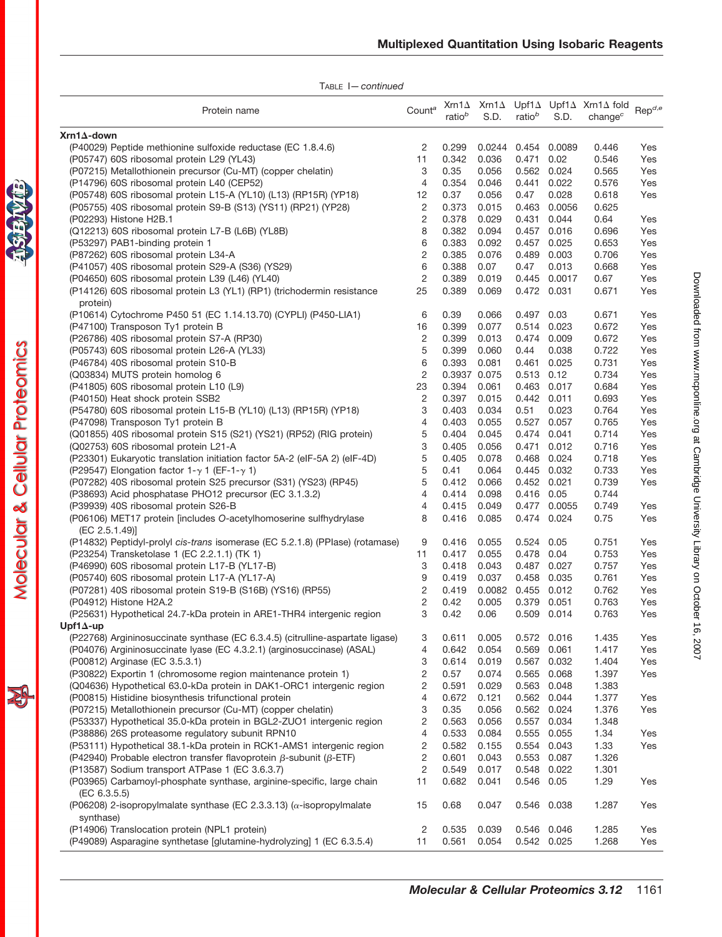| TABLE I—continued |
|-------------------|
|                   |

| Protein name                                                                                                                                             | Count <sup>a</sup>  | ratio <sup>b</sup> | S.D.           | ratio <sup>b</sup> | S.D.                | Xrn1∆ Xrn1∆ Upf1∆ Upf1∆ Xrn1∆ fold<br>change <sup>c</sup> | $\mathsf{Rep}^{d,e}$ |
|----------------------------------------------------------------------------------------------------------------------------------------------------------|---------------------|--------------------|----------------|--------------------|---------------------|-----------------------------------------------------------|----------------------|
| Xrn1∆-down                                                                                                                                               |                     |                    |                |                    |                     |                                                           |                      |
| (P40029) Peptide methionine sulfoxide reductase (EC 1.8.4.6)                                                                                             | 2                   | 0.299              |                |                    | 0.0244 0.454 0.0089 | 0.446                                                     | Yes                  |
| (P05747) 60S ribosomal protein L29 (YL43)                                                                                                                | 11                  | 0.342              | 0.036          | 0.471              | 0.02                | 0.546                                                     | Yes                  |
| (P07215) Metallothionein precursor (Cu-MT) (copper chelatin)                                                                                             | 3                   | 0.35               | 0.056          |                    | 0.562 0.024         | 0.565                                                     | Yes                  |
| (P14796) 60S ribosomal protein L40 (CEP52)                                                                                                               | 4                   | 0.354              | 0.046          |                    | 0.441 0.022         | 0.576                                                     | Yes                  |
| (P05748) 60S ribosomal protein L15-A (YL10) (L13) (RP15R) (YP18)                                                                                         | 12                  | 0.37               | 0.056          | 0.47               | 0.028               | 0.618                                                     | Yes                  |
| (P05755) 40S ribosomal protein S9-B (S13) (YS11) (RP21) (YP28)                                                                                           | $\overline{c}$      | 0.373              | 0.015          |                    | 0.463 0.0056        | 0.625                                                     |                      |
| (P02293) Histone H2B.1                                                                                                                                   | 2                   | 0.378              | 0.029          |                    | 0.431 0.044         | 0.64                                                      | Yes                  |
| (Q12213) 60S ribosomal protein L7-B (L6B) (YL8B)                                                                                                         | 8                   | 0.382              | 0.094          |                    | 0.457 0.016         | 0.696                                                     | Yes                  |
| (P53297) PAB1-binding protein 1                                                                                                                          | 6                   | 0.383              | 0.092          |                    | 0.457 0.025         | 0.653                                                     | Yes                  |
| (P87262) 60S ribosomal protein L34-A                                                                                                                     | $\overline{c}$      | 0.385              | 0.076          |                    | 0.489 0.003         | 0.706                                                     | Yes                  |
| (P41057) 40S ribosomal protein S29-A (S36) (YS29)                                                                                                        | 6                   | 0.388              | 0.07           | 0.47               | 0.013               | 0.668                                                     | Yes                  |
| (P04650) 60S ribosomal protein L39 (L46) (YL40)                                                                                                          | $\overline{2}$      | 0.389              | 0.019          |                    | 0.445 0.0017        | 0.67                                                      | Yes                  |
| (P14126) 60S ribosomal protein L3 (YL1) (RP1) (trichodermin resistance<br>protein)                                                                       | 25                  | 0.389              | 0.069          | 0.472 0.031        |                     | 0.671                                                     | Yes                  |
| (P10614) Cytochrome P450 51 (EC 1.14.13.70) (CYPLI) (P450-LIA1)                                                                                          | 6                   | 0.39               | 0.066          | 0.497 0.03         |                     | 0.671                                                     | Yes                  |
| (P47100) Transposon Ty1 protein B                                                                                                                        | 16                  | 0.399              | 0.077          |                    | 0.514 0.023         | 0.672                                                     | Yes                  |
| (P26786) 40S ribosomal protein S7-A (RP30)                                                                                                               | 2                   | 0.399              | 0.013          | 0.474 0.009        |                     | 0.672                                                     | Yes                  |
| (P05743) 60S ribosomal protein L26-A (YL33)                                                                                                              | 5                   | 0.399              | 0.060          | 0.44               | 0.038               | 0.722                                                     | Yes                  |
| (P46784) 40S ribosomal protein S10-B                                                                                                                     | 6                   | 0.393              | 0.081          |                    | 0.461 0.025         | 0.731                                                     | Yes                  |
| (Q03834) MUTS protein homolog 6                                                                                                                          | 2                   | 0.3937 0.075       |                | $0.513$ $0.12$     |                     | 0.734                                                     | Yes                  |
| (P41805) 60S ribosomal protein L10 (L9)                                                                                                                  | 23                  | 0.394              | 0.061          |                    | 0.463 0.017         | 0.684                                                     | Yes                  |
| (P40150) Heat shock protein SSB2                                                                                                                         | $\overline{c}$      | 0.397              | 0.015          |                    | 0.442 0.011         | 0.693                                                     | Yes                  |
| (P54780) 60S ribosomal protein L15-B (YL10) (L13) (RP15R) (YP18)                                                                                         | 3                   | 0.403              | 0.034          | 0.51               | 0.023               | 0.764                                                     | Yes                  |
| (P47098) Transposon Ty1 protein B                                                                                                                        | $\overline{4}$      | 0.403              | 0.055          |                    | 0.527 0.057         | 0.765                                                     | Yes                  |
| (Q01855) 40S ribosomal protein S15 (S21) (YS21) (RP52) (RIG protein)                                                                                     | 5                   | 0.404              | 0.045          |                    | 0.474 0.041         | 0.714                                                     | Yes                  |
| (Q02753) 60S ribosomal protein L21-A                                                                                                                     | 3                   | 0.405              | 0.056          | 0.471 0.012        |                     | 0.716                                                     | Yes                  |
| (P23301) Eukaryotic translation initiation factor 5A-2 (eIF-5A 2) (eIF-4D)                                                                               | 5                   | 0.405              | 0.078          |                    | 0.468 0.024         | 0.718                                                     | Yes                  |
| (P29547) Elongation factor $1-\gamma$ 1 (EF-1- $\gamma$ 1)                                                                                               | 5                   | 0.41               | 0.064          |                    | 0.445 0.032         | 0.733                                                     | Yes                  |
| (P07282) 40S ribosomal protein S25 precursor (S31) (YS23) (RP45)                                                                                         | 5<br>$\overline{4}$ | 0.412              | 0.066          | 0.452 0.021        |                     | 0.739                                                     | Yes                  |
| (P38693) Acid phosphatase PHO12 precursor (EC 3.1.3.2)                                                                                                   | 4                   | 0.414              | 0.098          | 0.416 0.05         | 0.477 0.0055        | 0.744                                                     |                      |
| (P39939) 40S ribosomal protein S26-B<br>(P06106) MET17 protein [includes O-acetylhomoserine sulfhydrylase                                                | 8                   | 0.415<br>0.416     | 0.049<br>0.085 | 0.474              | 0.024               | 0.749<br>0.75                                             | Yes<br>Yes           |
| (EC 2.5.1.49)<br>(P14832) Peptidyl-prolyl cis-trans isomerase (EC 5.2.1.8) (PPlase) (rotamase)                                                           | 9                   | 0.416              | 0.055          | 0.524 0.05         |                     | 0.751                                                     | Yes                  |
| (P23254) Transketolase 1 (EC 2.2.1.1) (TK 1)                                                                                                             | 11                  | 0.417              | 0.055          | 0.478 0.04         |                     | 0.753                                                     | Yes                  |
| (P46990) 60S ribosomal protein L17-B (YL17-B)                                                                                                            | 3                   | 0.418              | 0.043          |                    | 0.487 0.027         | 0.757                                                     | Yes                  |
| (P05740) 60S ribosomal protein L17-A (YL17-A)                                                                                                            | 9                   | 0.419              | 0.037          |                    | 0.458 0.035         | 0.761                                                     | Yes                  |
| (P07281) 40S ribosomal protein S19-B (S16B) (YS16) (RP55)                                                                                                | $\overline{2}$      | 0.419              | 0.0082         | 0.455 0.012        |                     | 0.762                                                     | Yes                  |
| (P04912) Histone H2A.2                                                                                                                                   | $\overline{2}$      | 0.42               | 0.005          |                    | 0.379 0.051         | 0.763                                                     | Yes                  |
| (P25631) Hypothetical 24.7-kDa protein in ARE1-THR4 intergenic region                                                                                    | 3                   | 0.42               | 0.06           |                    | 0.509 0.014         | 0.763                                                     | Yes                  |
| Upf1 $\Delta$ -up                                                                                                                                        |                     |                    |                |                    | 0.572 0.016         |                                                           |                      |
| (P22768) Argininosuccinate synthase (EC 6.3.4.5) (citrulline-aspartate ligase)<br>(P04076) Argininosuccinate Iyase (EC 4.3.2.1) (arginosuccinase) (ASAL) | 3<br>4              | 0.611<br>0.642     | 0.005<br>0.054 |                    | 0.569 0.061         | 1.435<br>1.417                                            | Yes<br>Yes           |
| (P00812) Arginase (EC 3.5.3.1)                                                                                                                           | 3                   | 0.614              | 0.019          | 0.567 0.032        |                     | 1.404                                                     | Yes                  |
| (P30822) Exportin 1 (chromosome region maintenance protein 1)                                                                                            | $\overline{c}$      | 0.57               | 0.074          |                    | 0.565 0.068         | 1.397                                                     | Yes                  |
| (Q04636) Hypothetical 63.0-kDa protein in DAK1-ORC1 intergenic region                                                                                    | 2                   | 0.591              | 0.029          |                    | 0.563 0.048         | 1.383                                                     |                      |
| (P00815) Histidine biosynthesis trifunctional protein                                                                                                    | 4                   | 0.672              | 0.121          |                    | 0.562 0.044         | 1.377                                                     | Yes                  |
| (P07215) Metallothionein precursor (Cu-MT) (copper chelatin)                                                                                             | 3                   | 0.35               | 0.056          |                    | 0.562 0.024         | 1.376                                                     | Yes                  |
| (P53337) Hypothetical 35.0-kDa protein in BGL2-ZUO1 intergenic region                                                                                    | 2                   | 0.563              | 0.056          |                    | 0.557 0.034         | 1.348                                                     |                      |
| (P38886) 26S proteasome regulatory subunit RPN10                                                                                                         | 4                   | 0.533              | 0.084          | 0.555 0.055        |                     | 1.34                                                      | Yes                  |
| (P53111) Hypothetical 38.1-kDa protein in RCK1-AMS1 intergenic region                                                                                    | 2                   | 0.582              | 0.155          |                    | 0.554 0.043         | 1.33                                                      | Yes                  |
| (P42940) Probable electron transfer flavoprotein $\beta$ -subunit ( $\beta$ -ETF)                                                                        | $\overline{2}$      | 0.601              | 0.043          |                    | 0.553 0.087         | 1.326                                                     |                      |
| (P13587) Sodium transport ATPase 1 (EC 3.6.3.7)                                                                                                          | 2                   | 0.549              | 0.017          |                    | 0.548 0.022         | 1.301                                                     |                      |
| (P03965) Carbamoyl-phosphate synthase, arginine-specific, large chain                                                                                    | 11                  | 0.682              | 0.041          | 0.546 0.05         |                     | 1.29                                                      | Yes                  |
| (EC 6.3.5.5)                                                                                                                                             |                     |                    |                |                    |                     |                                                           |                      |
| (P06208) 2-isopropylmalate synthase (EC 2.3.3.13) ( $\alpha$ -isopropylmalate<br>synthase)                                                               | 15                  | 0.68               | 0.047          |                    | 0.546 0.038         | 1.287                                                     | Yes                  |
| (P14906) Translocation protein (NPL1 protein)                                                                                                            | 2                   | 0.535              | 0.039          |                    | 0.546 0.046         | 1.285                                                     | Yes                  |
| (P49089) Asparagine synthetase [glutamine-hydrolyzing] 1 (EC 6.3.5.4)                                                                                    | 11                  | 0.561              | 0.054          | 0.542 0.025        |                     | 1.268                                                     | Yes                  |



Molecular & Cellular Proteomics

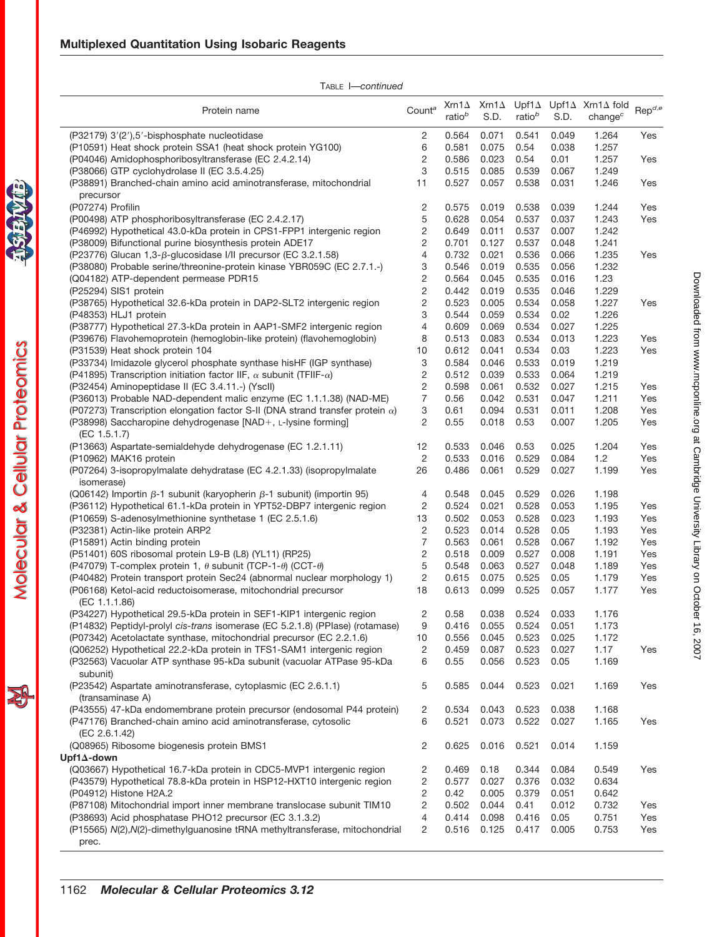| Тавце I <i>—continued</i> |
|---------------------------|
|                           |

| Protein name                                                                          | Count <sup>a</sup>      |                    |       |                    |               | Xrn1∆ Xrn1∆ Upf1∆ Upf1∆ Xrn1∆ fold | $\mathsf{Rep}^{d,e}$ |
|---------------------------------------------------------------------------------------|-------------------------|--------------------|-------|--------------------|---------------|------------------------------------|----------------------|
|                                                                                       |                         | ratio <sup>b</sup> | S.D.  | ratio <sup>b</sup> | S.D.          | change <sup>c</sup>                |                      |
| (P32179) 3'(2'),5'-bisphosphate nucleotidase                                          | 2                       | 0.564              | 0.071 | 0.541              | 0.049         | 1.264                              | Yes                  |
| (P10591) Heat shock protein SSA1 (heat shock protein YG100)                           | 6                       | 0.581              | 0.075 | 0.54               | 0.038         | 1.257                              |                      |
| (P04046) Amidophosphoribosyltransferase (EC 2.4.2.14)                                 | 2                       | 0.586              | 0.023 | 0.54               | 0.01          | 1.257                              | Yes                  |
| (P38066) GTP cyclohydrolase II (EC 3.5.4.25)                                          | 3                       | 0.515              | 0.085 | 0.539              | 0.067         | 1.249                              |                      |
| (P38891) Branched-chain amino acid aminotransferase, mitochondrial                    | 11                      | 0.527              | 0.057 | 0.538              | 0.031         | 1.246                              | Yes                  |
| precursor                                                                             |                         |                    |       |                    |               |                                    |                      |
| (P07274) Profilin                                                                     | 2                       | 0.575              | 0.019 | 0.538              | 0.039         | 1.244                              | Yes                  |
| (P00498) ATP phosphoribosyltransferase (EC 2.4.2.17)                                  | 5                       | 0.628              | 0.054 | 0.537              | 0.037         | 1.243                              | Yes                  |
| (P46992) Hypothetical 43.0-kDa protein in CPS1-FPP1 intergenic region                 | 2                       | 0.649              | 0.011 | 0.537              | 0.007         | 1.242                              |                      |
| (P38009) Bifunctional purine biosynthesis protein ADE17                               | 2                       | 0.701              | 0.127 | 0.537              | 0.048         | 1.241                              |                      |
| (P23776) Glucan 1,3-β-glucosidase I/II precursor (EC 3.2.1.58)                        | 4                       | 0.732              | 0.021 | 0.536              | 0.066         | 1.235                              | Yes                  |
| (P38080) Probable serine/threonine-protein kinase YBR059C (EC 2.7.1.-)                | 3                       | 0.546              | 0.019 | 0.535              | 0.056         | 1.232                              |                      |
| (Q04182) ATP-dependent permease PDR15                                                 | 2                       | 0.564              | 0.045 | 0.535              | 0.016         | 1.23                               |                      |
| (P25294) SIS1 protein                                                                 | $\overline{\mathbf{c}}$ | 0.442              | 0.019 | 0.535              | 0.046         | 1.229                              |                      |
| (P38765) Hypothetical 32.6-kDa protein in DAP2-SLT2 intergenic region                 | 2                       | 0.523              | 0.005 | 0.534              | 0.058         | 1.227                              | Yes                  |
| (P48353) HLJ1 protein                                                                 | 3                       | 0.544              | 0.059 | 0.534              | 0.02          | 1.226                              |                      |
| (P38777) Hypothetical 27.3-kDa protein in AAP1-SMF2 intergenic region                 | 4                       | 0.609              | 0.069 | 0.534              | 0.027         | 1.225                              |                      |
| (P39676) Flavohemoprotein (hemoglobin-like protein) (flavohemoglobin)                 | 8                       | 0.513              | 0.083 | 0.534              | 0.013         | 1.223                              | Yes                  |
| (P31539) Heat shock protein 104                                                       | 10                      | 0.612              | 0.041 | 0.534              | 0.03          | 1.223                              | Yes                  |
| (P33734) Imidazole glycerol phosphate synthase hisHF (IGP synthase)                   | 3                       | 0.584              | 0.046 | 0.533              | 0.019         | 1.219                              |                      |
| (P41895) Transcription initiation factor IIF, $\alpha$ subunit (TFIIF- $\alpha$ )     | 2                       | 0.512              | 0.039 | 0.533              | 0.064         | 1.219                              |                      |
| (P32454) Aminopeptidase II (EC 3.4.11.-) (YscII)                                      | 2                       | 0.598              | 0.061 | 0.532              | 0.027         | 1.215                              | Yes                  |
| (P36013) Probable NAD-dependent malic enzyme (EC 1.1.1.38) (NAD-ME)                   | 7                       | 0.56               | 0.042 | 0.531              | 0.047         | 1.211                              | Yes                  |
|                                                                                       | 3                       | 0.61               | 0.094 | 0.531              | 0.011         | 1.208                              | Yes                  |
| (P07273) Transcription elongation factor S-II (DNA strand transfer protein $\alpha$ ) | 2                       | 0.55               | 0.018 | 0.53               | 0.007         | 1.205                              |                      |
| (P38998) Saccharopine dehydrogenase [NAD+, L-lysine forming]<br>(EC 1.5.1.7)          |                         |                    |       |                    |               |                                    | Yes                  |
|                                                                                       |                         | 0.533              | 0.046 |                    | 0.025         | 1.204                              | Yes                  |
| (P13663) Aspartate-semialdehyde dehydrogenase (EC 1.2.1.11)<br>(P10962) MAK16 protein | 12<br>2                 | 0.533              | 0.016 | 0.53<br>0.529      | 0.084         | 1.2                                |                      |
|                                                                                       | 26                      | 0.486              | 0.061 | 0.529              | 0.027         | 1.199                              | Yes<br>Yes           |
| (P07264) 3-isopropylmalate dehydratase (EC 4.2.1.33) (isopropylmalate<br>isomerase)   |                         |                    |       |                    |               |                                    |                      |
| (Q06142) Importin $\beta$ -1 subunit (karyopherin $\beta$ -1 subunit) (importin 95)   | 4                       | 0.548              | 0.045 | 0.529              | 0.026         | 1.198                              |                      |
| (P36112) Hypothetical 61.1-kDa protein in YPT52-DBP7 intergenic region                | 2                       | 0.524              | 0.021 | 0.528              | 0.053         | 1.195                              | Yes                  |
| (P10659) S-adenosylmethionine synthetase 1 (EC 2.5.1.6)                               | 13                      | 0.502              | 0.053 | 0.528              | 0.023         | 1.193                              | Yes                  |
| (P32381) Actin-like protein ARP2                                                      | 2                       | 0.523              | 0.014 | 0.528              |               | 1.193                              | Yes                  |
| (P15891) Actin binding protein                                                        | 7                       | 0.563              | 0.061 | 0.528              | 0.05<br>0.067 | 1.192                              | Yes                  |
| (P51401) 60S ribosomal protein L9-B (L8) (YL11) (RP25)                                | 2                       | 0.518              | 0.009 | 0.527              | 0.008         | 1.191                              | Yes                  |
| (P47079) T-complex protein 1, $\theta$ subunit (TCP-1- $\theta$ ) (CCT- $\theta$ )    | 5                       | 0.548              | 0.063 | 0.527              | 0.048         | 1.189                              | Yes                  |
| (P40482) Protein transport protein Sec24 (abnormal nuclear morphology 1)              | $\overline{c}$          | 0.615              | 0.075 | 0.525              | 0.05          | 1.179                              | Yes                  |
|                                                                                       | 18                      | 0.613              | 0.099 | 0.525              |               | 1.177                              |                      |
| (P06168) Ketol-acid reductoisomerase, mitochondrial precursor                         |                         |                    |       |                    | 0.057         |                                    | Yes                  |
| (EC 1.1.1.86)                                                                         |                         |                    | 0.038 | 0.524              |               |                                    |                      |
| (P34227) Hypothetical 29.5-kDa protein in SEF1-KIP1 intergenic region                 | 2<br>9                  | 0.58               |       |                    | 0.033         | 1.176                              |                      |
| (P14832) Peptidyl-prolyl cis-trans isomerase (EC 5.2.1.8) (PPlase) (rotamase)         |                         | 0.416              | 0.055 | 0.524              | 0.051         | 1.173                              |                      |
| (P07342) Acetolactate synthase, mitochondrial precursor (EC 2.2.1.6)                  | 10                      | 0.556              | 0.045 | 0.523              | 0.025         | 1.172                              |                      |
| (Q06252) Hypothetical 22.2-kDa protein in TFS1-SAM1 intergenic region                 | 2                       | 0.459              | 0.087 | 0.523              | 0.027         | 1.17                               | Yes                  |
| (P32563) Vacuolar ATP synthase 95-kDa subunit (vacuolar ATPase 95-kDa                 | 6                       | 0.55               | 0.056 | 0.523              | 0.05          | 1.169                              |                      |
| subunit)                                                                              |                         |                    |       |                    |               |                                    |                      |
| (P23542) Aspartate aminotransferase, cytoplasmic (EC 2.6.1.1)                         | 5                       | 0.585              | 0.044 | 0.523              | 0.021         | 1.169                              | Yes                  |
| (transaminase A)                                                                      |                         |                    |       |                    |               |                                    |                      |
| (P43555) 47-kDa endomembrane protein precursor (endosomal P44 protein)                | 2                       | 0.534              | 0.043 | 0.523              | 0.038         | 1.168                              |                      |
| (P47176) Branched-chain amino acid aminotransferase, cytosolic                        | 6                       | 0.521              | 0.073 | 0.522              | 0.027         | 1.165                              | Yes                  |
| (EC 2.6.1.42)                                                                         |                         |                    |       |                    |               |                                    |                      |
| (Q08965) Ribosome biogenesis protein BMS1                                             | 2                       | 0.625              | 0.016 | 0.521              | 0.014         | 1.159                              |                      |
| Upf1 $\Delta$ -down                                                                   |                         |                    |       |                    |               |                                    |                      |
| (Q03667) Hypothetical 16.7-kDa protein in CDC5-MVP1 intergenic region                 | 2                       | 0.469              | 0.18  | 0.344              | 0.084         | 0.549                              | Yes                  |
| (P43579) Hypothetical 78.8-kDa protein in HSP12-HXT10 intergenic region               | 2                       | 0.577              | 0.027 | 0.376              | 0.032         | 0.634                              |                      |
| (P04912) Histone H2A.2                                                                | 2                       | 0.42               | 0.005 | 0.379              | 0.051         | 0.642                              |                      |
| (P87108) Mitochondrial import inner membrane translocase subunit TIM10                | 2                       | 0.502              | 0.044 | 0.41               | 0.012         | 0.732                              | Yes                  |
| (P38693) Acid phosphatase PHO12 precursor (EC 3.1.3.2)                                | 4                       | 0.414              | 0.098 | 0.416              | 0.05          | 0.751                              | Yes                  |
| (P15565) N(2), N(2)-dimethylguanosine tRNA methyltransferase, mitochondrial           | 2                       | 0.516              | 0.125 | 0.417              | 0.005         | 0.753                              | Yes                  |
| prec.                                                                                 |                         |                    |       |                    |               |                                    |                      |

SIANS

1162 *Molecular & Cellular Proteomics 3.12*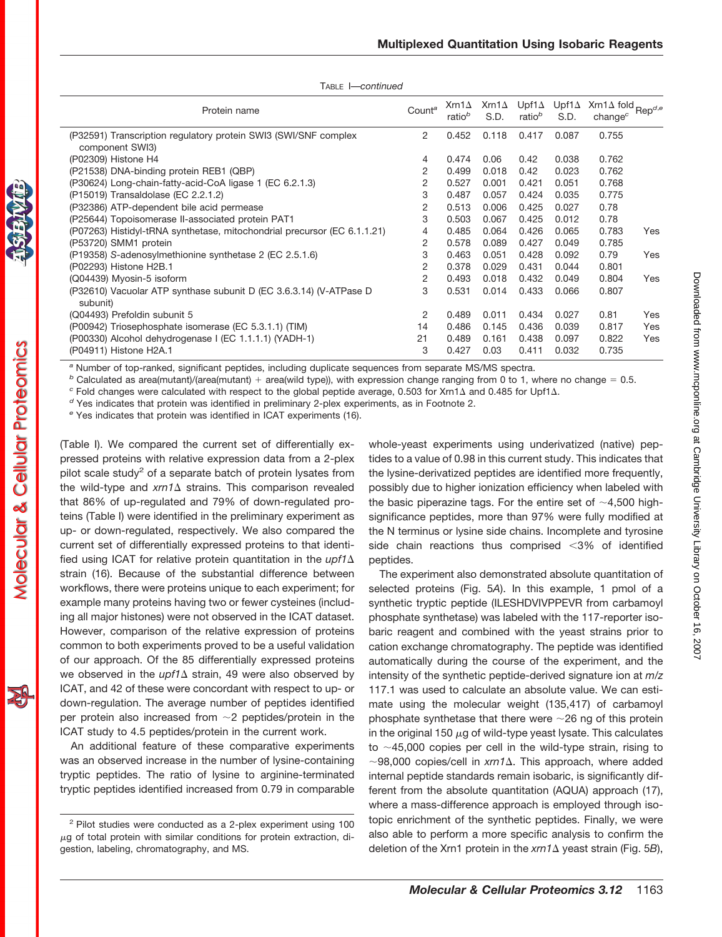| Protein name                                                                       | Count <sup>a</sup> | $Xrn1\Delta$<br>ratio <sup>b</sup> | $Xrn1\Delta$<br>S.D. | Upf1 $\Delta$<br>ratio <sup>b</sup> | Upf1 $\Delta$<br>S.D. | $\overline{Xrn1}$ fold $\overline{Rep^{d,e}}$<br>$change^c$ |     |
|------------------------------------------------------------------------------------|--------------------|------------------------------------|----------------------|-------------------------------------|-----------------------|-------------------------------------------------------------|-----|
| (P32591) Transcription regulatory protein SWI3 (SWI/SNF complex<br>component SWI3) | 2                  | 0.452                              | 0.118                | 0.417                               | 0.087                 | 0.755                                                       |     |
| (P02309) Histone H4                                                                | 4                  | 0.474                              | 0.06                 | 0.42                                | 0.038                 | 0.762                                                       |     |
| (P21538) DNA-binding protein REB1 (QBP)                                            | 2                  | 0.499                              | 0.018                | 0.42                                | 0.023                 | 0.762                                                       |     |
| (P30624) Long-chain-fatty-acid-CoA ligase 1 (EC 6.2.1.3)                           | 2                  | 0.527                              | 0.001                | 0.421                               | 0.051                 | 0.768                                                       |     |
| (P15019) Transaldolase (EC 2.2.1.2)                                                | 3                  | 0.487                              | 0.057                | 0.424                               | 0.035                 | 0.775                                                       |     |
| (P32386) ATP-dependent bile acid permease                                          | 2                  | 0.513                              | 0.006                | 0.425                               | 0.027                 | 0.78                                                        |     |
| (P25644) Topoisomerase II-associated protein PAT1                                  | 3                  | 0.503                              | 0.067                | 0.425                               | 0.012                 | 0.78                                                        |     |
| (P07263) Histidyl-tRNA synthetase, mitochondrial precursor (EC 6.1.1.21)           | 4                  | 0.485                              | 0.064                | 0.426                               | 0.065                 | 0.783                                                       | Yes |
| (P53720) SMM1 protein                                                              | 2                  | 0.578                              | 0.089                | 0.427                               | 0.049                 | 0.785                                                       |     |
| (P19358) S-adenosylmethionine synthetase 2 (EC 2.5.1.6)                            | 3                  | 0.463                              | 0.051                | 0.428                               | 0.092                 | 0.79                                                        | Yes |
| (P02293) Histone H2B.1                                                             | 2                  | 0.378                              | 0.029                | 0.431                               | 0.044                 | 0.801                                                       |     |
| (Q04439) Myosin-5 isoform                                                          | 2                  | 0.493                              | 0.018                | 0.432                               | 0.049                 | 0.804                                                       | Yes |
| (P32610) Vacuolar ATP synthase subunit D (EC 3.6.3.14) (V-ATPase D<br>subunit)     | 3                  | 0.531                              | 0.014                | 0.433                               | 0.066                 | 0.807                                                       |     |
| (Q04493) Prefoldin subunit 5                                                       | 2                  | 0.489                              | 0.011                | 0.434                               | 0.027                 | 0.81                                                        | Yes |
| (P00942) Triosephosphate isomerase (EC 5.3.1.1) (TIM)                              | 14                 | 0.486                              | 0.145                | 0.436                               | 0.039                 | 0.817                                                       | Yes |
| (P00330) Alcohol dehydrogenase I (EC 1.1.1.1) (YADH-1)                             | 21                 | 0.489                              | 0.161                | 0.438                               | 0.097                 | 0.822                                                       | Yes |
| (P04911) Histone H2A.1                                                             | 3                  | 0.427                              | 0.03                 | 0.411                               | 0.032                 | 0.735                                                       |     |

TABLE I—*continued*

*<sup>a</sup>* Number of top-ranked, significant peptides, including duplicate sequences from separate MS/MS spectra.

 $b$  Calculated as area(mutant)/(area(mutant) + area(wild type)), with expression change ranging from 0 to 1, where no change = 0.5.

 $c$  Fold changes were calculated with respect to the global peptide average, 0.503 for Xrn1 $\Delta$  and 0.485 for Upf1 $\Delta$ .

*<sup>d</sup>* Yes indicates that protein was identified in preliminary 2-plex experiments, as in Footnote 2.

*<sup>e</sup>* Yes indicates that protein was identified in ICAT experiments (16).

(Table I). We compared the current set of differentially expressed proteins with relative expression data from a 2-plex pilot scale study<sup>2</sup> of a separate batch of protein lysates from the wild-type and  $xrn1\Delta$  strains. This comparison revealed that 86% of up-regulated and 79% of down-regulated proteins (Table I) were identified in the preliminary experiment as up- or down-regulated, respectively. We also compared the current set of differentially expressed proteins to that identified using ICAT for relative protein quantitation in the *upf1* strain (16). Because of the substantial difference between workflows, there were proteins unique to each experiment; for example many proteins having two or fewer cysteines (including all major histones) were not observed in the ICAT dataset. However, comparison of the relative expression of proteins common to both experiments proved to be a useful validation of our approach. Of the 85 differentially expressed proteins we observed in the  $upf1\Delta$  strain, 49 were also observed by ICAT, and 42 of these were concordant with respect to up- or down-regulation. The average number of peptides identified per protein also increased from  $\sim$ 2 peptides/protein in the ICAT study to 4.5 peptides/protein in the current work.

An additional feature of these comparative experiments was an observed increase in the number of lysine-containing tryptic peptides. The ratio of lysine to arginine-terminated tryptic peptides identified increased from 0.79 in comparable whole-yeast experiments using underivatized (native) peptides to a value of 0.98 in this current study. This indicates that the lysine-derivatized peptides are identified more frequently, possibly due to higher ionization efficiency when labeled with the basic piperazine tags. For the entire set of  $\sim$ 4,500 highsignificance peptides, more than 97% were fully modified at the N terminus or lysine side chains. Incomplete and tyrosine side chain reactions thus comprised  $<$ 3% of identified peptides.

The experiment also demonstrated absolute quantitation of selected proteins (Fig. 5*A*). In this example, 1 pmol of a synthetic tryptic peptide (ILESHDVIVPPEVR from carbamoyl phosphate synthetase) was labeled with the 117-reporter isobaric reagent and combined with the yeast strains prior to cation exchange chromatography. The peptide was identified automatically during the course of the experiment, and the intensity of the synthetic peptide-derived signature ion at *m*/*z* 117.1 was used to calculate an absolute value. We can estimate using the molecular weight (135,417) of carbamoyl phosphate synthetase that there were  $\sim$ 26 ng of this protein in the original 150  $\mu$ g of wild-type yeast lysate. This calculates to  $\sim$  45,000 copies per cell in the wild-type strain, rising to  $\sim$ 98,000 copies/cell in *xrn1* $\Delta$ . This approach, where added internal peptide standards remain isobaric, is significantly different from the absolute quantitation (AQUA) approach (17), where a mass-difference approach is employed through isotopic enrichment of the synthetic peptides. Finally, we were also able to perform a more specific analysis to confirm the deletion of the Xrn1 protein in the  $xrn1\Delta$  yeast strain (Fig. 5*B*),



<sup>2</sup> Pilot studies were conducted as a 2-plex experiment using 100  $\mu$ g of total protein with similar conditions for protein extraction, digestion, labeling, chromatography, and MS.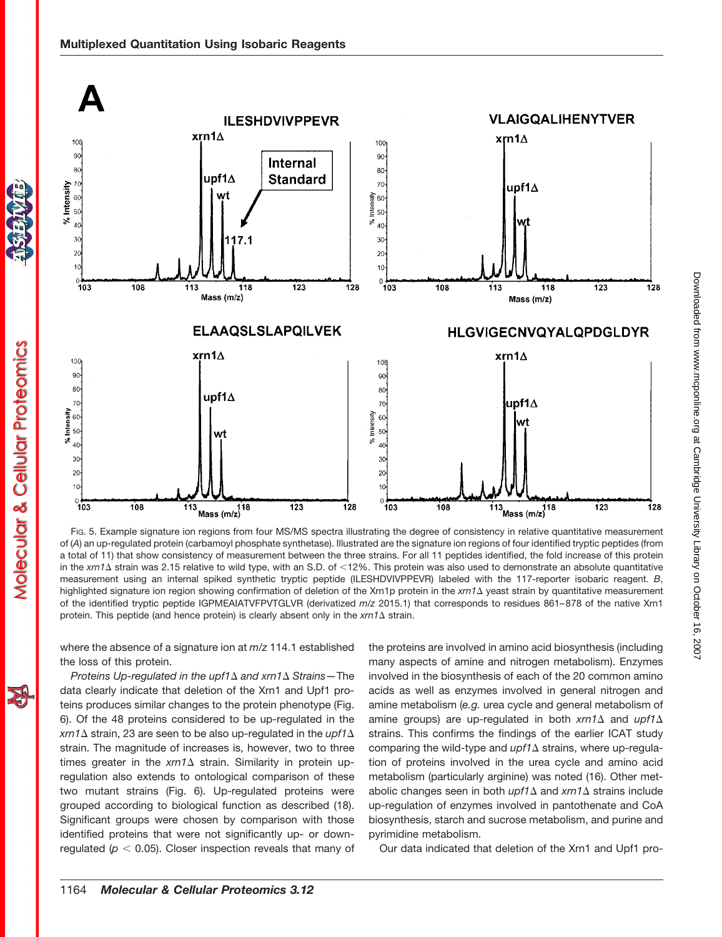

FIG. 5. Example signature ion regions from four MS/MS spectra illustrating the degree of consistency in relative quantitative measurement of (*A*) an up-regulated protein (carbamoyl phosphate synthetase). Illustrated are the signature ion regions of four identified tryptic peptides (from a total of 11) that show consistency of measurement between the three strains. For all 11 peptides identified, the fold increase of this protein in the  $xm1\Delta$  strain was 2.15 relative to wild type, with an S.D. of <12%. This protein was also used to demonstrate an absolute quantitative measurement using an internal spiked synthetic tryptic peptide (ILESHDVIVPPEVR) labeled with the 117-reporter isobaric reagent. *B*, highlighted signature ion region showing confirmation of deletion of the Xrn1p protein in the xrn1 $\Delta$  yeast strain by quantitative measurement of the identified tryptic peptide IGPMEAIATVFPVTGLVR (derivatized *m*/*z* 2015.1) that corresponds to residues 861–878 of the native Xrn1 protein. This peptide (and hence protein) is clearly absent only in the  $xrn1\Delta$  strain.

where the absence of a signature ion at *m*/*z* 114.1 established the loss of this protein.

*Proteins Up-regulated in the upf1 and xrn1 Strains—*The data clearly indicate that deletion of the Xrn1 and Upf1 proteins produces similar changes to the protein phenotype (Fig. 6). Of the 48 proteins considered to be up-regulated in the  $xrn1\Delta$  strain, 23 are seen to be also up-regulated in the *upf1* $\Delta$ strain. The magnitude of increases is, however, two to three times greater in the  $xrn1\Delta$  strain. Similarity in protein upregulation also extends to ontological comparison of these two mutant strains (Fig. 6). Up-regulated proteins were grouped according to biological function as described (18). Significant groups were chosen by comparison with those identified proteins that were not significantly up- or downregulated ( $p < 0.05$ ). Closer inspection reveals that many of the proteins are involved in amino acid biosynthesis (including many aspects of amine and nitrogen metabolism). Enzymes involved in the biosynthesis of each of the 20 common amino acids as well as enzymes involved in general nitrogen and amine metabolism (*e.g.* urea cycle and general metabolism of amine groups) are up-regulated in both  $xrn1\Delta$  and  $upf1\Delta$ strains. This confirms the findings of the earlier ICAT study comparing the wild-type and  $upf1\Delta$  strains, where up-regulation of proteins involved in the urea cycle and amino acid metabolism (particularly arginine) was noted (16). Other metabolic changes seen in both  $\mu$ pf1 $\Delta$  and  $\lambda$ rn1 $\Delta$  strains include up-regulation of enzymes involved in pantothenate and CoA biosynthesis, starch and sucrose metabolism, and purine and pyrimidine metabolism.

Our data indicated that deletion of the Xrn1 and Upf1 pro-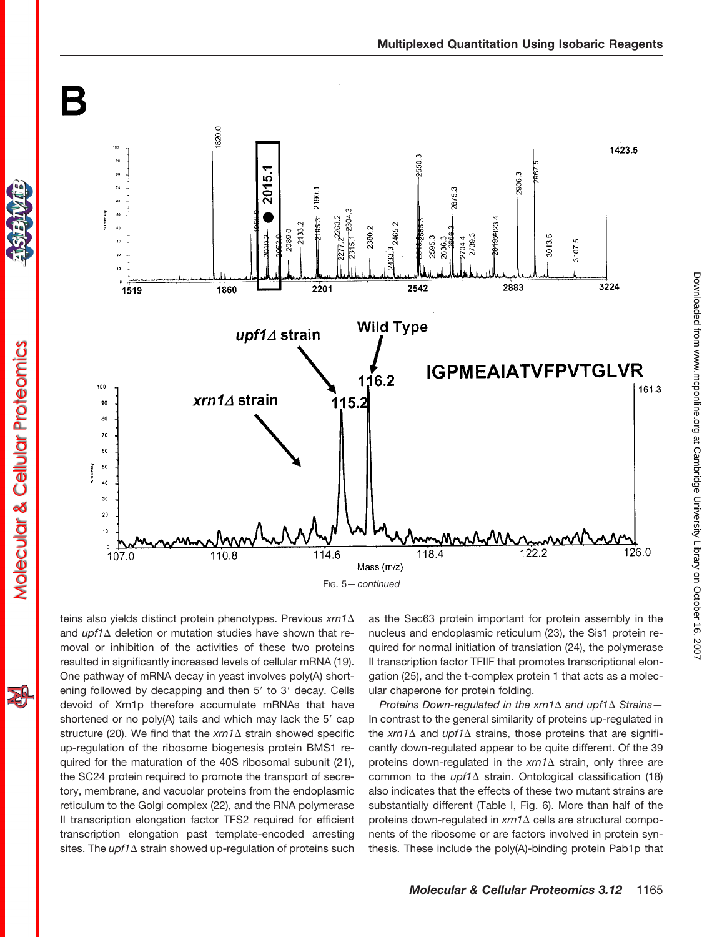

Downloaded from www.mcponline.org at Cambridge University Library on October 16, 2007

teins also yields distinct protein phenotypes. Previous *xrn1* and *upf1*<sup> $\triangle$ </sup> deletion or mutation studies have shown that removal or inhibition of the activities of these two proteins resulted in significantly increased levels of cellular mRNA (19). One pathway of mRNA decay in yeast involves poly(A) shortening followed by decapping and then 5' to 3' decay. Cells devoid of Xrn1p therefore accumulate mRNAs that have shortened or no poly(A) tails and which may lack the 5' cap structure (20). We find that the  $xrn1\Delta$  strain showed specific up-regulation of the ribosome biogenesis protein BMS1 required for the maturation of the 40S ribosomal subunit (21), the SC24 protein required to promote the transport of secretory, membrane, and vacuolar proteins from the endoplasmic reticulum to the Golgi complex (22), and the RNA polymerase II transcription elongation factor TFS2 required for efficient transcription elongation past template-encoded arresting sites. The  $\mu$ *pf1* $\Delta$  strain showed up-regulation of proteins such as the Sec63 protein important for protein assembly in the nucleus and endoplasmic reticulum (23), the Sis1 protein required for normal initiation of translation (24), the polymerase II transcription factor TFIIF that promotes transcriptional elongation (25), and the t-complex protein 1 that acts as a molecular chaperone for protein folding.

*Proteins Down-regulated in the xrn1∆ and upf1∆ Strains–* In contrast to the general similarity of proteins up-regulated in the  $xrn1\Delta$  and  $upf1\Delta$  strains, those proteins that are significantly down-regulated appear to be quite different. Of the 39 proteins down-regulated in the  $xrn1\Delta$  strain, only three are common to the  $upf1\Delta$  strain. Ontological classification (18) also indicates that the effects of these two mutant strains are substantially different (Table I, Fig. 6). More than half of the proteins down-regulated in  $xrn1\Delta$  cells are structural components of the ribosome or are factors involved in protein synthesis. These include the poly(A)-binding protein Pab1p that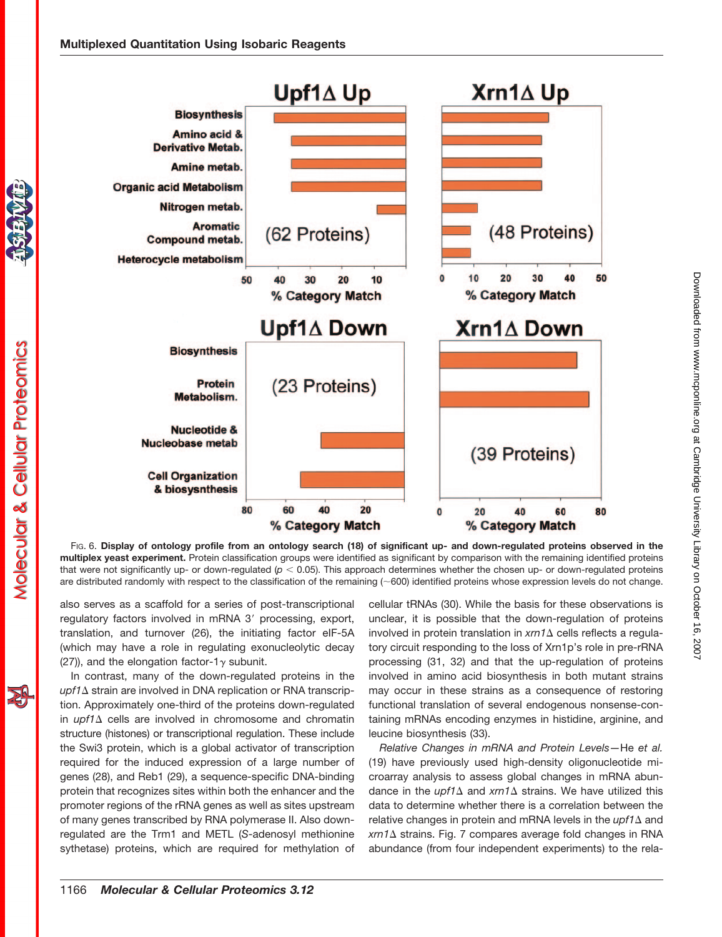

FIG. 6. **Display of ontology profile from an ontology search (18) of significant up- and down-regulated proteins observed in the multiplex yeast experiment.** Protein classification groups were identified as significant by comparison with the remaining identified proteins that were not significantly up- or down-regulated (*p* 0.05). This approach determines whether the chosen up- or down-regulated proteins are distributed randomly with respect to the classification of the remaining  $(\sim 600)$  identified proteins whose expression levels do not change.

also serves as a scaffold for a series of post-transcriptional regulatory factors involved in mRNA 3' processing, export, translation, and turnover (26), the initiating factor eIF-5A (which may have a role in regulating exonucleolytic decay (27)), and the elongation factor-1 $\gamma$  subunit.

In contrast, many of the down-regulated proteins in the  $upf1\Delta$  strain are involved in DNA replication or RNA transcription. Approximately one-third of the proteins down-regulated in  $upf1\Delta$  cells are involved in chromosome and chromatin structure (histones) or transcriptional regulation. These include the Swi3 protein, which is a global activator of transcription required for the induced expression of a large number of genes (28), and Reb1 (29), a sequence-specific DNA-binding protein that recognizes sites within both the enhancer and the promoter regions of the rRNA genes as well as sites upstream of many genes transcribed by RNA polymerase II. Also downregulated are the Trm1 and METL (*S*-adenosyl methionine sythetase) proteins, which are required for methylation of cellular tRNAs (30). While the basis for these observations is unclear, it is possible that the down-regulation of proteins involved in protein translation in  $xrn1\Delta$  cells reflects a regulatory circuit responding to the loss of Xrn1p's role in pre-rRNA processing (31, 32) and that the up-regulation of proteins involved in amino acid biosynthesis in both mutant strains may occur in these strains as a consequence of restoring functional translation of several endogenous nonsense-containing mRNAs encoding enzymes in histidine, arginine, and leucine biosynthesis (33).

*Relative Changes in mRNA and Protein Levels—*He *et al.* (19) have previously used high-density oligonucleotide microarray analysis to assess global changes in mRNA abundance in the *upf1* $\triangle$  and *xrn1* $\triangle$  strains. We have utilized this data to determine whether there is a correlation between the relative changes in protein and mRNA levels in the  $upf1\Delta$  and  $xrn1\Delta$  strains. Fig. 7 compares average fold changes in RNA abundance (from four independent experiments) to the rela-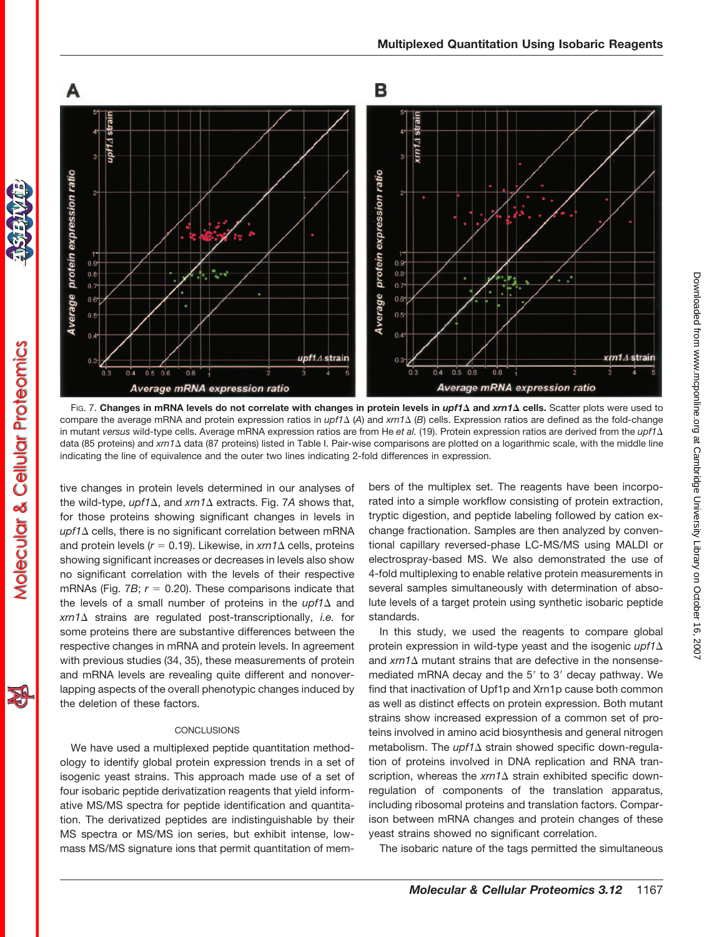

FIG. 7. Changes in mRNA levels do not correlate with changes in protein levels in *upf1*∆ and *xrn1*∆ cells. Scatter plots were used to compare the average mRNA and protein expression ratios in *upf1* (*A*) and *xrn1* (*B*) cells. Expression ratios are defined as the fold-change in mutant *versus* wild-type cells. Average mRNA expression ratios are from He *et al.* (19). Protein expression ratios are derived from the *upf1* data (85 proteins) and *xrn1* data (87 proteins) listed in Table I. Pair-wise comparisons are plotted on a logarithmic scale, with the middle line indicating the line of equivalence and the outer two lines indicating 2-fold differences in expression.

tive changes in protein levels determined in our analyses of the wild-type,  $upf1\Delta$ , and  $xrn1\Delta$  extracts. Fig. 7A shows that, for those proteins showing significant changes in levels in  $upf1\Delta$  cells, there is no significant correlation between mRNA and protein levels ( $r = 0.19$ ). Likewise, in *xrn1* $\Delta$  cells, proteins showing significant increases or decreases in levels also show no significant correlation with the levels of their respective mRNAs (Fig.  $7B$ ;  $r = 0.20$ ). These comparisons indicate that the levels of a small number of proteins in the  $upf1\Delta$  and *xrn1* strains are regulated post-transcriptionally, *i.e.* for some proteins there are substantive differences between the respective changes in mRNA and protein levels. In agreement with previous studies (34, 35), these measurements of protein and mRNA levels are revealing quite different and nonoverlapping aspects of the overall phenotypic changes induced by the deletion of these factors.

# **CONCLUSIONS**

We have used a multiplexed peptide quantitation methodology to identify global protein expression trends in a set of isogenic yeast strains. This approach made use of a set of four isobaric peptide derivatization reagents that yield informative MS/MS spectra for peptide identification and quantitation. The derivatized peptides are indistinguishable by their MS spectra or MS/MS ion series, but exhibit intense, lowmass MS/MS signature ions that permit quantitation of members of the multiplex set. The reagents have been incorporated into a simple workflow consisting of protein extraction, tryptic digestion, and peptide labeling followed by cation exchange fractionation. Samples are then analyzed by conventional capillary reversed-phase LC-MS/MS using MALDI or electrospray-based MS. We also demonstrated the use of 4-fold multiplexing to enable relative protein measurements in several samples simultaneously with determination of absolute levels of a target protein using synthetic isobaric peptide standards.

In this study, we used the reagents to compare global protein expression in wild-type yeast and the isogenic *upf1* and  $xrn1\Delta$  mutant strains that are defective in the nonsensemediated mRNA decay and the 5' to 3' decay pathway. We find that inactivation of Upf1p and Xrn1p cause both common as well as distinct effects on protein expression. Both mutant strains show increased expression of a common set of proteins involved in amino acid biosynthesis and general nitrogen metabolism. The  $upf1\Delta$  strain showed specific down-regulation of proteins involved in DNA replication and RNA transcription, whereas the  $xrn1\Delta$  strain exhibited specific downregulation of components of the translation apparatus, including ribosomal proteins and translation factors. Comparison between mRNA changes and protein changes of these yeast strains showed no significant correlation.

The isobaric nature of the tags permitted the simultaneous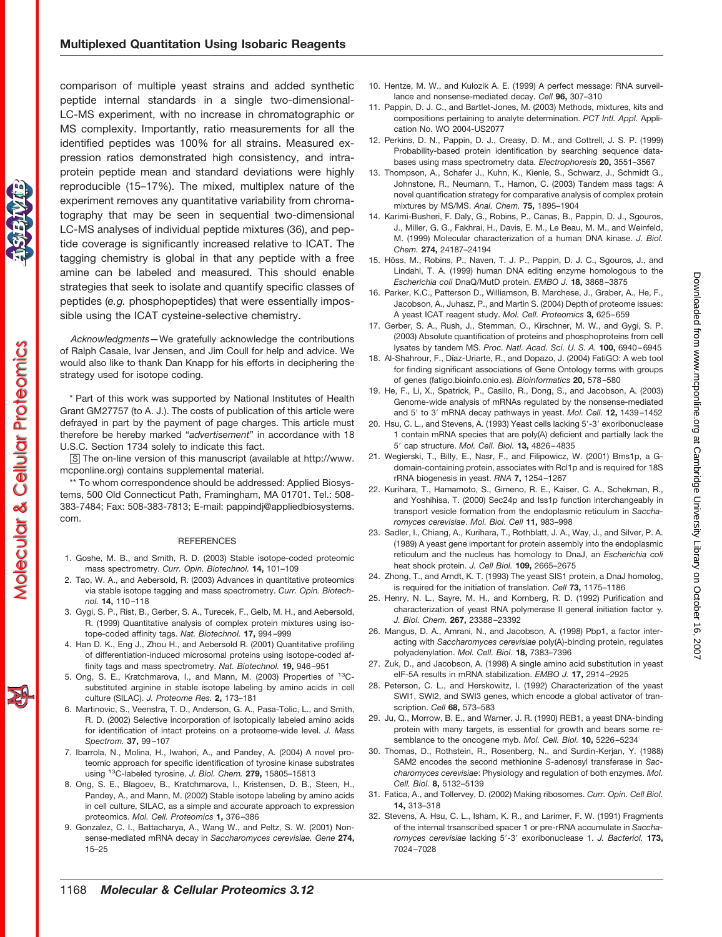comparison of multiple yeast strains and added synthetic peptide internal standards in a single two-dimensional-LC-MS experiment, with no increase in chromatographic or MS complexity. Importantly, ratio measurements for all the identified peptides was 100% for all strains. Measured expression ratios demonstrated high consistency, and intraprotein peptide mean and standard deviations were highly reproducible (15–17%). The mixed, multiplex nature of the experiment removes any quantitative variability from chromatography that may be seen in sequential two-dimensional LC-MS analyses of individual peptide mixtures (36), and peptide coverage is significantly increased relative to ICAT. The tagging chemistry is global in that any peptide with a free amine can be labeled and measured. This should enable strategies that seek to isolate and quantify specific classes of peptides (*e.g.* phosphopeptides) that were essentially impossible using the ICAT cysteine-selective chemistry.

*Acknowledgments—*We gratefully acknowledge the contributions of Ralph Casale, Ivar Jensen, and Jim Coull for help and advice. We would also like to thank Dan Knapp for his efforts in deciphering the strategy used for isotope coding.

\* Part of this work was supported by National Institutes of Health Grant GM27757 (to A. J.). The costs of publication of this article were defrayed in part by the payment of page charges. This article must therefore be hereby marked "*advertisement*" in accordance with 18 U.S.C. Section 1734 solely to indicate this fact.

□S The on-line version of this manuscript (available at http://www. mcponline.org) contains supplemental material.

\*\* To whom correspondence should be addressed: Applied Biosystems, 500 Old Connecticut Path, Framingham, MA 01701. Tel.: 508- 383-7484; Fax: 508-383-7813; E-mail: pappindj@appliedbiosystems. com.

## **REFERENCES**

- 1. Goshe, M. B., and Smith, R. D. (2003) Stable isotope-coded proteomic mass spectrometry. *Curr. Opin. Biotechnol.* **14,** 101–109
- 2. Tao, W. A., and Aebersold, R. (2003) Advances in quantitative proteomics via stable isotope tagging and mass spectrometry. *Curr. Opin. Biotechnol.* **14,** 110–118
- 3. Gygi, S. P., Rist, B., Gerber, S. A., Turecek, F., Gelb, M. H., and Aebersold, R. (1999) Quantitative analysis of complex protein mixtures using isotope-coded affinity tags. *Nat. Biotechnol.* **17,** 994–999
- 4. Han D. K., Eng J., Zhou H., and Aebersold R. (2001) Quantitative profiling of differentiation-induced microsomal proteins using isotope-coded affinity tags and mass spectrometry. *Nat. Biotechnol.* **19,** 946–951
- 5. Ong, S. E., Kratchmarova, I., and Mann, M. (2003) Properties of <sup>13</sup>Csubstituted arginine in stable isotope labeling by amino acids in cell culture (SILAC). *J. Proteome Res.* **2,** 173–181
- 6. Martinovic, S., Veenstra, T. D., Anderson, G. A., Pasa-Tolic, L., and Smith, R. D. (2002) Selective incorporation of isotopically labeled amino acids for identification of intact proteins on a proteome-wide level. *J. Mass Spectrom.* **37,** 99–107
- 7. Ibarrola, N., Molina, H., Iwahori, A., and Pandey, A. (2004) A novel proteomic approach for specific identification of tyrosine kinase substrates using 13C-labeled tyrosine. *J. Biol. Chem.* **279,** 15805–15813
- 8. Ong, S. E., Blagoev, B., Kratchmarova, I., Kristensen, D. B., Steen, H., Pandey, A., and Mann, M. (2002) Stable isotope labeling by amino acids in cell culture, SILAC, as a simple and accurate approach to expression proteomics. *Mol. Cell. Proteomics* **1,** 376–386
- 9. Gonzalez, C. I., Battacharya, A., Wang W., and Peltz, S. W. (2001) Nonsense-mediated mRNA decay in *Saccharomyces cerevisiae. Gene* **274,** 15–25
- 10. Hentze, M. W., and Kulozik A. E. (1999) A perfect message: RNA surveillance and nonsense-mediated decay. *Cell* **96,** 307–310
- 11. Pappin, D. J. C., and Bartlet-Jones, M. (2003) Methods, mixtures, kits and compositions pertaining to analyte determination. *PCT Intl. Appl.* Application No. WO 2004-US2077
- 12. Perkins, D. N., Pappin, D. J., Creasy, D. M., and Cottrell, J. S. P. (1999) Probability-based protein identification by searching sequence databases using mass spectrometry data. *Electrophoresis* **20,** 3551–3567
- 13. Thompson, A., Schafer J., Kuhn, K., Kienle, S., Schwarz, J., Schmidt G., Johnstone, R., Neumann, T., Hamon, C. (2003) Tandem mass tags: A novel quantification strategy for comparative analysis of complex protein mixtures by MS/MS. *Anal. Chem.* **75,** 1895–1904
- 14. Karimi-Busheri, F. Daly, G., Robins, P., Canas, B., Pappin, D. J., Sgouros, J., Miller, G. G., Fakhrai, H., Davis, E. M., Le Beau, M. M., and Weinfeld, M. (1999) Molecular characterization of a human DNA kinase. *J. Biol. Chem.* **274,** 24187–24194
- 15. Höss, M., Robins, P., Naven, T. J. P., Pappin, D. J. C., Sgouros, J., and Lindahl, T. A. (1999) human DNA editing enzyme homologous to the *Escherichia coli* DnaQ/MutD protein. *EMBO J.* **18,** 3868–3875
- 16. Parker, K.C., Patterson D., Williamson, B. Marchese, J., Graber, A., He, F., Jacobson, A., Juhasz, P., and Martin S. (2004) Depth of proteome issues: A yeast ICAT reagent study. *Mol. Cell. Proteomics* **3,** 625–659
- 17. Gerber, S. A., Rush, J., Stemman, O., Kirschner, M. W., and Gygi, S. P. (2003) Absolute quantification of proteins and phosphoproteins from cell lysates by tandem MS. *Proc. Natl. Acad. Sci. U. S. A.* **100,** 6940–6945
- 18. Al-Shahrour, F., Díaz-Uriarte, R., and Dopazo, J. (2004) FatiGO: A web tool for finding significant associations of Gene Ontology terms with groups of genes (fatigo.bioinfo.cnio.es). *Bioinformatics* **20,** 578–580
- 19. He, F., Li, X., Spatrick, P., Casillo, R., Dong, S., and Jacobson, A. (2003) Genome-wide analysis of mRNAs regulated by the nonsense-mediated and 5' to 3' mRNA decay pathways in yeast. Mol. Cell. **12,** 1439-1452
- 20. Hsu, C. L., and Stevens, A. (1993) Yeast cells lacking 5'-3' exoribonuclease 1 contain mRNA species that are poly(A) deficient and partially lack the 5- cap structure. *Mol. Cell. Biol.* **13,** 4826–4835
- 21. Wegierski, T., Billy, E., Nasr, F., and Filipowicz, W. (2001) Bms1p, a Gdomain-containing protein, associates with Rcl1p and is required for 18S rRNA biogenesis in yeast. *RNA* **7,** 1254–1267
- 22. Kurihara, T., Hamamoto, S., Gimeno, R. E., Kaiser, C. A., Schekman, R., and Yoshihisa, T. (2000) Sec24p and Iss1p function interchangeably in transport vesicle formation from the endoplasmic reticulum in *Saccharomyces cerevisiae*. *Mol. Biol. Cell* **11,** 983–998
- 23. Sadler, I., Chiang, A., Kurihara, T., Rothblatt, J. A., Way, J., and Silver, P. A. (1989) A yeast gene important for protein assembly into the endoplasmic reticulum and the nucleus has homology to DnaJ, an *Escherichia coli* heat shock protein. *J. Cell Biol.* **109,** 2665–2675
- 24. Zhong, T., and Arndt, K. T. (1993) The yeast SIS1 protein, a DnaJ homolog, is required for the initiation of translation. *Cell* **73,** 1175–1186
- 25. Henry, N. L., Sayre, M. H., and Kornberg, R. D. (1992) Purification and characterization of yeast RNA polymerase II general initiation factor  $\gamma$ . *J. Biol. Chem.* **267,** 23388–23392
- 26. Mangus, D. A., Amrani, N., and Jacobson, A. (1998) Pbp1, a factor interacting with *Saccharomyces cerevisiae* poly(A)-binding protein, regulates polyadenylation. *Mol. Cell. Biol.* **18,** 7383–7396
- 27. Zuk, D., and Jacobson, A. (1998) A single amino acid substitution in yeast eIF-5A results in mRNA stabilization. *EMBO J.* **17,** 2914–2925
- 28. Peterson, C. L., and Herskowitz, I. (1992) Characterization of the yeast SWI1, SWI2, and SWI3 genes, which encode a global activator of transcription. *Cell* **68,** 573–583
- 29. Ju, Q., Morrow, B. E., and Warner, J. R. (1990) REB1, a yeast DNA-binding protein with many targets, is essential for growth and bears some resemblance to the oncogene myb. *Mol. Cell. Biol.* **10,** 5226–5234
- 30. Thomas, D., Rothstein, R., Rosenberg, N., and Surdin-Kerjan, Y. (1988) SAM2 encodes the second methionine *S*-adenosyl transferase in *Saccharomyces cerevisiae*: Physiology and regulation of both enzymes. *Mol. Cell. Biol.* **8,** 5132–5139
- 31. Fatica, A., and Tollervey, D. (2002) Making ribosomes. *Curr. Opin. Cell Biol.* **14,** 313–318
- 32. Stevens, A. Hsu, C. L., Isham, K. R., and Larimer, F. W. (1991) Fragments of the internal trsanscribed spacer 1 or pre-rRNA accumulate in *Saccharomyces cerevisiae* lacking 5--3- exoribonuclease 1. *J. Bacteriol.* **173,** 7024–7028